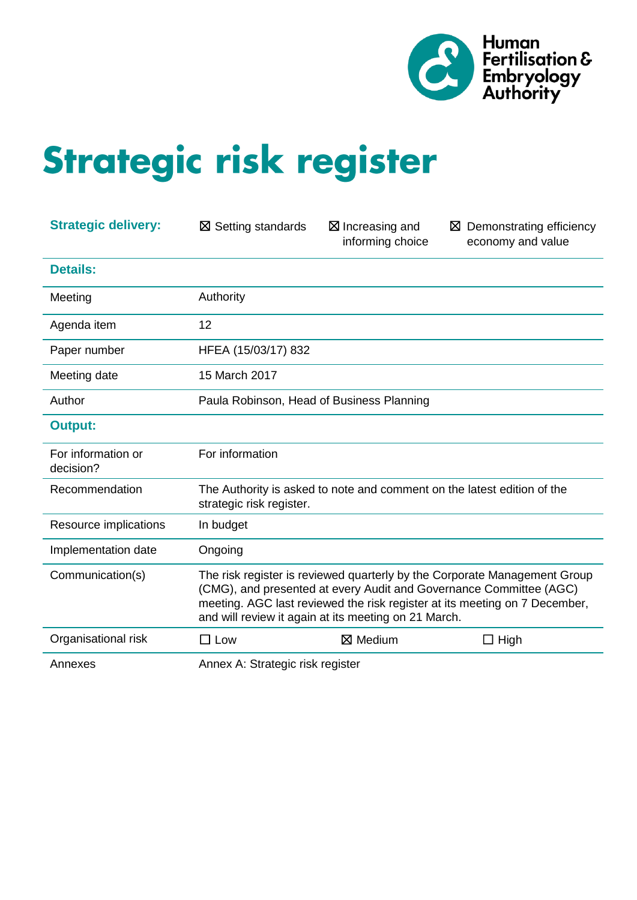

# Strategic risk register

| <b>Strategic delivery:</b>      | $\boxtimes$ Setting standards                                                                                                                                                                                                                                                         | $\boxtimes$ Increasing and<br>informing choice                          | $\boxtimes$ Demonstrating efficiency<br>economy and value |  |  |
|---------------------------------|---------------------------------------------------------------------------------------------------------------------------------------------------------------------------------------------------------------------------------------------------------------------------------------|-------------------------------------------------------------------------|-----------------------------------------------------------|--|--|
| <b>Details:</b>                 |                                                                                                                                                                                                                                                                                       |                                                                         |                                                           |  |  |
| Meeting                         | Authority                                                                                                                                                                                                                                                                             |                                                                         |                                                           |  |  |
| Agenda item                     | 12                                                                                                                                                                                                                                                                                    |                                                                         |                                                           |  |  |
| Paper number                    | HFEA (15/03/17) 832                                                                                                                                                                                                                                                                   |                                                                         |                                                           |  |  |
| Meeting date                    | 15 March 2017                                                                                                                                                                                                                                                                         |                                                                         |                                                           |  |  |
| Author                          | Paula Robinson, Head of Business Planning                                                                                                                                                                                                                                             |                                                                         |                                                           |  |  |
| <b>Output:</b>                  |                                                                                                                                                                                                                                                                                       |                                                                         |                                                           |  |  |
| For information or<br>decision? | For information                                                                                                                                                                                                                                                                       |                                                                         |                                                           |  |  |
| Recommendation                  | strategic risk register.                                                                                                                                                                                                                                                              | The Authority is asked to note and comment on the latest edition of the |                                                           |  |  |
| Resource implications           | In budget                                                                                                                                                                                                                                                                             |                                                                         |                                                           |  |  |
| Implementation date             | Ongoing                                                                                                                                                                                                                                                                               |                                                                         |                                                           |  |  |
| Communication(s)                | The risk register is reviewed quarterly by the Corporate Management Group<br>(CMG), and presented at every Audit and Governance Committee (AGC)<br>meeting. AGC last reviewed the risk register at its meeting on 7 December,<br>and will review it again at its meeting on 21 March. |                                                                         |                                                           |  |  |
| Organisational risk             | $\square$ Low                                                                                                                                                                                                                                                                         | $\boxtimes$ Medium                                                      | $\Box$ High                                               |  |  |
| Annexes                         | Annex A: Strategic risk register                                                                                                                                                                                                                                                      |                                                                         |                                                           |  |  |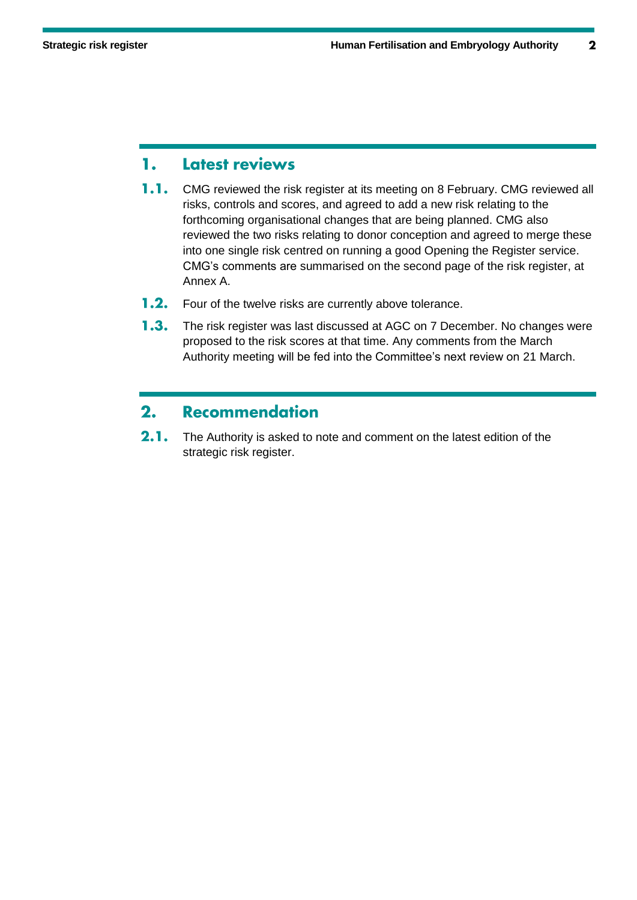#### Latest reviews 1.

- $1.1.$ CMG reviewed the risk register at its meeting on 8 February. CMG reviewed all risks, controls and scores, and agreed to add a new risk relating to the forthcoming organisational changes that are being planned. CMG also reviewed the two risks relating to donor conception and agreed to merge these into one single risk centred on running a good Opening the Register service. CMG's comments are summarised on the second page of the risk register, at Annex A.
- $1.2.$ Four of the twelve risks are currently above tolerance.
- $1.3.$ The risk register was last discussed at AGC on 7 December. No changes were proposed to the risk scores at that time. Any comments from the March Authority meeting will be fed into the Committee's next review on 21 March.

#### $2.$ **Recommendation**

 $2.1.$ The Authority is asked to note and comment on the latest edition of the strategic risk register.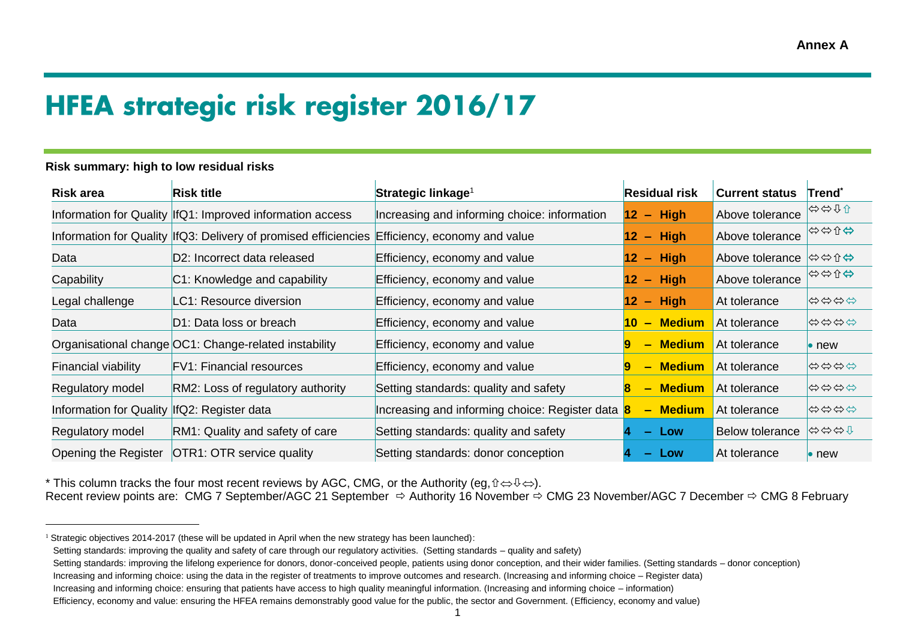# **HFEA strategic risk register 2016/17**

| <b>Risk area</b>               | <b>Risk title</b>                                                                               | Strategic linkage <sup>1</sup>                   | <b>Residual risk</b>                              | <b>Current status</b>  | Trend`        |
|--------------------------------|-------------------------------------------------------------------------------------------------|--------------------------------------------------|---------------------------------------------------|------------------------|---------------|
|                                | Information for Quality  IfQ1: Improved information access                                      | Increasing and informing choice: information     | $-$ High<br>12 <sup>°</sup>                       | Above tolerance        | ⇔⇔↑↑          |
|                                | Information for Quality  IfQ3: Delivery of promised efficiencies  Efficiency, economy and value |                                                  | $-$ High<br>12 <sub>2</sub>                       | Above tolerance        | ⇔⇔↑⇔          |
| Data                           | D2: Incorrect data released                                                                     | Efficiency, economy and value                    | <b>High</b><br>12<br>$\overline{\phantom{m}}$     | Above tolerance        | ⇔⇔↑⇔          |
| Capability                     | C1: Knowledge and capability                                                                    | Efficiency, economy and value                    | <b>High</b><br>12 <sup>°</sup><br>$\equiv$        | Above tolerance        | ⇔⇔↑⇔          |
| Legal challenge                | LC1: Resource diversion                                                                         | Efficiency, economy and value                    | <b>High</b><br>12<br>$\qquad \qquad \blacksquare$ | At tolerance           | <b>むゆゆむ</b>   |
| Data                           | D1: Data loss or breach                                                                         | Efficiency, economy and value                    | <b>Medium</b><br><b>10</b><br>$\qquad \qquad$     | At tolerance           | <b>むむむむ</b>   |
|                                | Organisational change OC1: Change-related instability                                           | Efficiency, economy and value                    | <b>Medium</b><br>р<br>-                           | At tolerance           | $\bullet$ new |
| Financial viability            | <b>FV1: Financial resources</b>                                                                 | Efficiency, economy and value                    | <b>Medium</b><br>19<br>$\equiv$                   | At tolerance           | <b>むむむむ</b>   |
| Regulatory model               | RM2: Loss of regulatory authority                                                               | Setting standards: quality and safety            | <b>Medium</b><br>$\equiv$                         | At tolerance           | <b>むむむむ</b>   |
| <b>Information for Quality</b> | IfQ2: Register data                                                                             | Increasing and informing choice: Register data 8 | - Medium                                          | At tolerance           | <b>むむむむ</b>   |
| Regulatory model               | RM1: Quality and safety of care                                                                 | Setting standards: quality and safety            | – Low                                             | <b>Below tolerance</b> | 分分分分          |
| Opening the Register           | OTR1: OTR service quality                                                                       | Setting standards: donor conception              | Low<br>-                                          | At tolerance           | $\bullet$ new |

#### **Risk summary: high to low residual risks**

 $\overline{a}$ 

<sup>\*</sup> This column tracks the four most recent reviews by AGC, CMG, or the Authority (eg,  $\hat{v} \Leftrightarrow \hat{v} \Leftrightarrow$ ).

Recent review points are: CMG 7 September/AGC 21 September  $\Rightarrow$  Authority 16 November  $\Rightarrow$  CMG 23 November/AGC 7 December  $\Rightarrow$  CMG 8 February

<sup>&</sup>lt;sup>1</sup> Strategic objectives 2014-2017 (these will be updated in April when the new strategy has been launched):

Setting standards: improving the quality and safety of care through our regulatory activities. (Setting standards – quality and safety)

Setting standards: improving the lifelong experience for donors, donor-conceived people, patients using donor conception, and their wider families, (Setting standards – donor conception)

Increasing and informing choice: using the data in the register of treatments to improve outcomes and research. (Increasing and informing choice – Register data)

Increasing and informing choice: ensuring that patients have access to high quality meaningful information. (Increasing and informing choice – information)

Efficiency, economy and value: ensuring the HFEA remains demonstrably good value for the public, the sector and Government. (Efficiency, economy and value)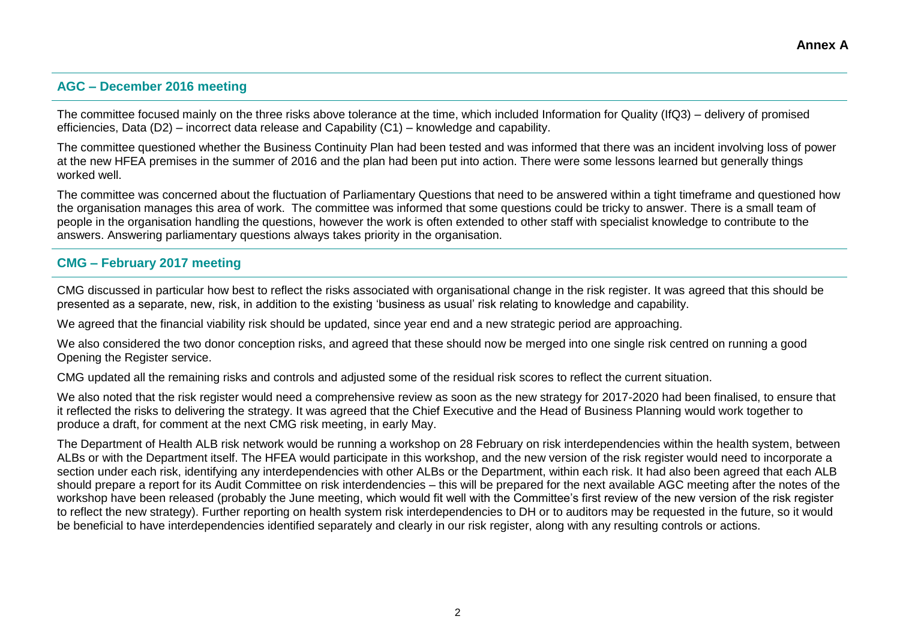#### **AGC – December 2016 meeting**

The committee focused mainly on the three risks above tolerance at the time, which included Information for Quality (IfQ3) – delivery of promised efficiencies, Data (D2) – incorrect data release and Capability (C1) – knowledge and capability.

The committee questioned whether the Business Continuity Plan had been tested and was informed that there was an incident involving loss of power at the new HFEA premises in the summer of 2016 and the plan had been put into action. There were some lessons learned but generally things worked well.

The committee was concerned about the fluctuation of Parliamentary Questions that need to be answered within a tight timeframe and questioned how the organisation manages this area of work. The committee was informed that some questions could be tricky to answer. There is a small team of people in the organisation handling the questions, however the work is often extended to other staff with specialist knowledge to contribute to the answers. Answering parliamentary questions always takes priority in the organisation.

#### **CMG – February 2017 meeting**

CMG discussed in particular how best to reflect the risks associated with organisational change in the risk register. It was agreed that this should be presented as a separate, new, risk, in addition to the existing 'business as usual' risk relating to knowledge and capability.

We agreed that the financial viability risk should be updated, since year end and a new strategic period are approaching.

We also considered the two donor conception risks, and agreed that these should now be merged into one single risk centred on running a good Opening the Register service.

CMG updated all the remaining risks and controls and adjusted some of the residual risk scores to reflect the current situation.

We also noted that the risk register would need a comprehensive review as soon as the new strategy for 2017-2020 had been finalised, to ensure that it reflected the risks to delivering the strategy. It was agreed that the Chief Executive and the Head of Business Planning would work together to produce a draft, for comment at the next CMG risk meeting, in early May.

The Department of Health ALB risk network would be running a workshop on 28 February on risk interdependencies within the health system, between ALBs or with the Department itself. The HFEA would participate in this workshop, and the new version of the risk register would need to incorporate a section under each risk, identifying any interdependencies with other ALBs or the Department, within each risk. It had also been agreed that each ALB should prepare a report for its Audit Committee on risk interdendencies – this will be prepared for the next available AGC meeting after the notes of the workshop have been released (probably the June meeting, which would fit well with the Committee's first review of the new version of the risk register to reflect the new strategy). Further reporting on health system risk interdependencies to DH or to auditors may be requested in the future, so it would be beneficial to have interdependencies identified separately and clearly in our risk register, along with any resulting controls or actions.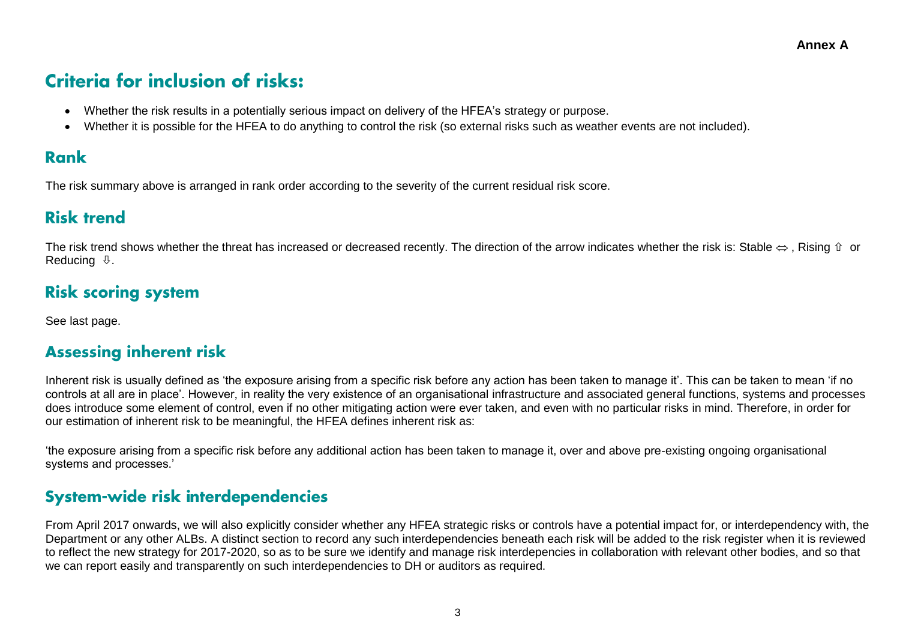# **Criteria for inclusion of risks:**

- Whether the risk results in a potentially serious impact on delivery of the HFEA's strategy or purpose.
- Whether it is possible for the HFEA to do anything to control the risk (so external risks such as weather events are not included).

# **Rank**

The risk summary above is arranged in rank order according to the severity of the current residual risk score.

# **Risk trend**

The risk trend shows whether the threat has increased or decreased recently. The direction of the arrow indicates whether the risk is: Stable  $\Leftrightarrow$ . Rising  $\hat{v}$  or Reducing  $\mathbb Q$ .

# **Risk scoring system**

See last page.

# **Assessing inherent risk**

Inherent risk is usually defined as 'the exposure arising from a specific risk before any action has been taken to manage it'. This can be taken to mean 'if no controls at all are in place'. However, in reality the very existence of an organisational infrastructure and associated general functions, systems and processes does introduce some element of control, even if no other mitigating action were ever taken, and even with no particular risks in mind. Therefore, in order for our estimation of inherent risk to be meaningful, the HFEA defines inherent risk as:

'the exposure arising from a specific risk before any additional action has been taken to manage it, over and above pre-existing ongoing organisational systems and processes.'

# System-wide risk interdependencies

From April 2017 onwards, we will also explicitly consider whether any HFEA strategic risks or controls have a potential impact for, or interdependency with, the Department or any other ALBs. A distinct section to record any such interdependencies beneath each risk will be added to the risk register when it is reviewed to reflect the new strategy for 2017-2020, so as to be sure we identify and manage risk interdepencies in collaboration with relevant other bodies, and so that we can report easily and transparently on such interdependencies to DH or auditors as required.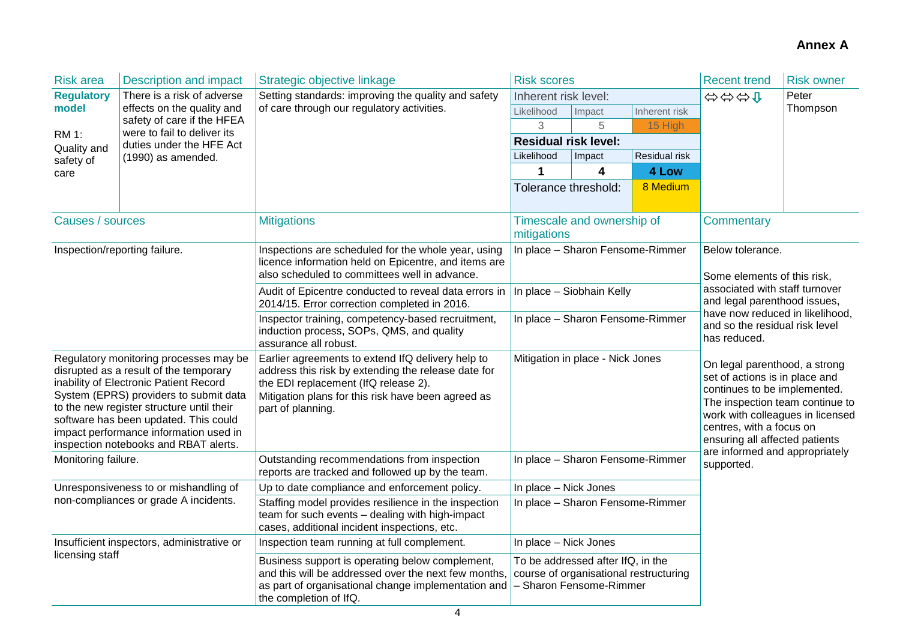| <b>Risk area</b>                      | Description and impact                                                                                                                                                                                                                                                                                                                        | Strategic objective linkage                                                                                                                                                                                                 | <b>Risk scores</b>                                                                                     |                                  |                                                                                                                                                                                                                                      | <b>Recent trend</b>                                                                                                                                                                                    | <b>Risk owner</b> |  |
|---------------------------------------|-----------------------------------------------------------------------------------------------------------------------------------------------------------------------------------------------------------------------------------------------------------------------------------------------------------------------------------------------|-----------------------------------------------------------------------------------------------------------------------------------------------------------------------------------------------------------------------------|--------------------------------------------------------------------------------------------------------|----------------------------------|--------------------------------------------------------------------------------------------------------------------------------------------------------------------------------------------------------------------------------------|--------------------------------------------------------------------------------------------------------------------------------------------------------------------------------------------------------|-------------------|--|
| <b>Regulatory</b>                     | There is a risk of adverse                                                                                                                                                                                                                                                                                                                    | Setting standards: improving the quality and safety                                                                                                                                                                         | Inherent risk level:                                                                                   |                                  |                                                                                                                                                                                                                                      | 分分分                                                                                                                                                                                                    | Peter             |  |
| model                                 | effects on the quality and                                                                                                                                                                                                                                                                                                                    | of care through our regulatory activities.                                                                                                                                                                                  | Likelihood                                                                                             | Impact                           | Inherent risk                                                                                                                                                                                                                        |                                                                                                                                                                                                        | Thompson          |  |
| <b>RM 1:</b>                          | safety of care if the HFEA<br>were to fail to deliver its                                                                                                                                                                                                                                                                                     |                                                                                                                                                                                                                             | 3                                                                                                      | 5                                | 15 High                                                                                                                                                                                                                              |                                                                                                                                                                                                        |                   |  |
| Quality and                           | duties under the HFE Act                                                                                                                                                                                                                                                                                                                      |                                                                                                                                                                                                                             | <b>Residual risk level:</b>                                                                            |                                  |                                                                                                                                                                                                                                      |                                                                                                                                                                                                        |                   |  |
| safety of                             | (1990) as amended.                                                                                                                                                                                                                                                                                                                            |                                                                                                                                                                                                                             | Likelihood                                                                                             | Impact                           | Residual risk                                                                                                                                                                                                                        |                                                                                                                                                                                                        |                   |  |
| care                                  |                                                                                                                                                                                                                                                                                                                                               |                                                                                                                                                                                                                             | 1                                                                                                      | 4                                | 4 Low                                                                                                                                                                                                                                |                                                                                                                                                                                                        |                   |  |
|                                       |                                                                                                                                                                                                                                                                                                                                               |                                                                                                                                                                                                                             | Tolerance threshold:                                                                                   |                                  | 8 Medium                                                                                                                                                                                                                             |                                                                                                                                                                                                        |                   |  |
| Causes / sources                      |                                                                                                                                                                                                                                                                                                                                               | <b>Mitigations</b>                                                                                                                                                                                                          | mitigations                                                                                            | Timescale and ownership of       |                                                                                                                                                                                                                                      | <b>Commentary</b>                                                                                                                                                                                      |                   |  |
|                                       | Inspection/reporting failure.                                                                                                                                                                                                                                                                                                                 | Inspections are scheduled for the whole year, using<br>licence information held on Epicentre, and items are<br>also scheduled to committees well in advance.                                                                | In place - Sharon Fensome-Rimmer<br>In place - Siobhain Kelly<br>In place - Sharon Fensome-Rimmer      |                                  |                                                                                                                                                                                                                                      | Below tolerance.<br>Some elements of this risk,<br>associated with staff turnover<br>and legal parenthood issues,<br>have now reduced in likelihood,<br>and so the residual risk level<br>has reduced. |                   |  |
|                                       |                                                                                                                                                                                                                                                                                                                                               | Audit of Epicentre conducted to reveal data errors in<br>2014/15. Error correction completed in 2016.                                                                                                                       |                                                                                                        |                                  |                                                                                                                                                                                                                                      |                                                                                                                                                                                                        |                   |  |
|                                       |                                                                                                                                                                                                                                                                                                                                               | Inspector training, competency-based recruitment,<br>induction process, SOPs, QMS, and quality<br>assurance all robust.                                                                                                     |                                                                                                        |                                  |                                                                                                                                                                                                                                      |                                                                                                                                                                                                        |                   |  |
|                                       | Regulatory monitoring processes may be<br>disrupted as a result of the temporary<br>inability of Electronic Patient Record<br>System (EPRS) providers to submit data<br>to the new register structure until their<br>software has been updated. This could<br>impact performance information used in<br>inspection notebooks and RBAT alerts. | Earlier agreements to extend IfQ delivery help to<br>address this risk by extending the release date for<br>the EDI replacement (IfQ release 2).<br>Mitigation plans for this risk have been agreed as<br>part of planning. | Mitigation in place - Nick Jones                                                                       |                                  | On legal parenthood, a strong<br>set of actions is in place and<br>continues to be implemented.<br>The inspection team continue to<br>work with colleagues in licensed<br>centres, with a focus on<br>ensuring all affected patients |                                                                                                                                                                                                        |                   |  |
| Monitoring failure.                   |                                                                                                                                                                                                                                                                                                                                               | Outstanding recommendations from inspection<br>reports are tracked and followed up by the team.                                                                                                                             | In place - Sharon Fensome-Rimmer                                                                       |                                  | are informed and appropriately<br>supported.                                                                                                                                                                                         |                                                                                                                                                                                                        |                   |  |
|                                       | Unresponsiveness to or mishandling of                                                                                                                                                                                                                                                                                                         | Up to date compliance and enforcement policy.                                                                                                                                                                               | In place - Nick Jones                                                                                  |                                  |                                                                                                                                                                                                                                      |                                                                                                                                                                                                        |                   |  |
| non-compliances or grade A incidents. |                                                                                                                                                                                                                                                                                                                                               | Staffing model provides resilience in the inspection<br>team for such events - dealing with high-impact<br>cases, additional incident inspections, etc.                                                                     |                                                                                                        | In place - Sharon Fensome-Rimmer |                                                                                                                                                                                                                                      |                                                                                                                                                                                                        |                   |  |
|                                       | Insufficient inspectors, administrative or                                                                                                                                                                                                                                                                                                    | Inspection team running at full complement.                                                                                                                                                                                 | In place - Nick Jones                                                                                  |                                  |                                                                                                                                                                                                                                      |                                                                                                                                                                                                        |                   |  |
| licensing staff                       |                                                                                                                                                                                                                                                                                                                                               | Business support is operating below complement,<br>and this will be addressed over the next few months,<br>as part of organisational change implementation and<br>the completion of IfQ.                                    | To be addressed after IfQ, in the<br>course of organisational restructuring<br>- Sharon Fensome-Rimmer |                                  |                                                                                                                                                                                                                                      |                                                                                                                                                                                                        |                   |  |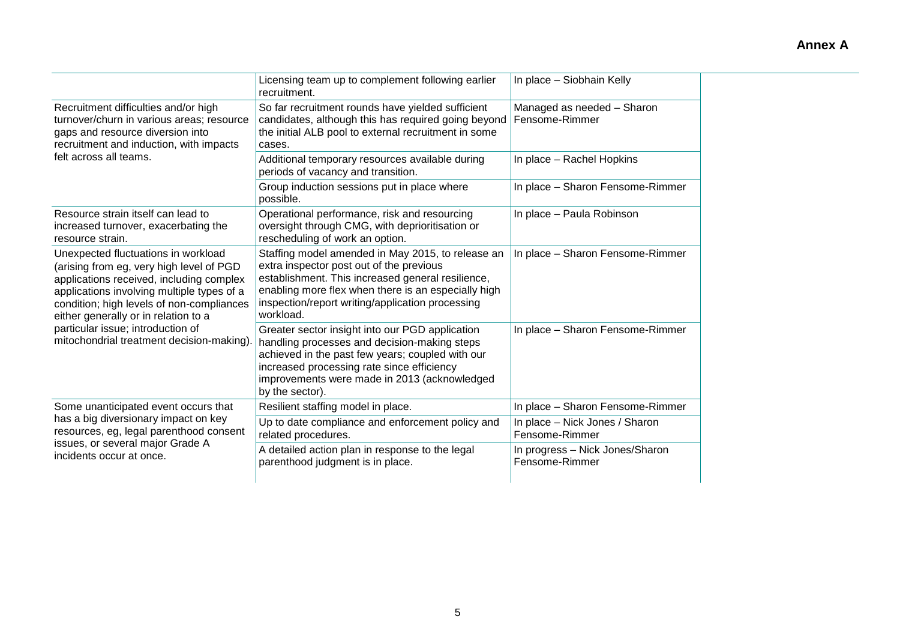|                                                                                                                                                                                                                                                                | Licensing team up to complement following earlier<br>recruitment.                                                                                                                                                                                                          | In place - Siobhain Kelly                         |
|----------------------------------------------------------------------------------------------------------------------------------------------------------------------------------------------------------------------------------------------------------------|----------------------------------------------------------------------------------------------------------------------------------------------------------------------------------------------------------------------------------------------------------------------------|---------------------------------------------------|
| Recruitment difficulties and/or high<br>turnover/churn in various areas; resource<br>gaps and resource diversion into<br>recruitment and induction, with impacts                                                                                               | So far recruitment rounds have yielded sufficient<br>candidates, although this has required going beyond<br>the initial ALB pool to external recruitment in some<br>cases.                                                                                                 | Managed as needed - Sharon<br>Fensome-Rimmer      |
| felt across all teams.                                                                                                                                                                                                                                         | Additional temporary resources available during<br>periods of vacancy and transition.                                                                                                                                                                                      | In place - Rachel Hopkins                         |
|                                                                                                                                                                                                                                                                | Group induction sessions put in place where<br>possible.                                                                                                                                                                                                                   | In place - Sharon Fensome-Rimmer                  |
| Resource strain itself can lead to<br>increased turnover, exacerbating the<br>resource strain.                                                                                                                                                                 | Operational performance, risk and resourcing<br>oversight through CMG, with deprioritisation or<br>rescheduling of work an option.                                                                                                                                         | In place - Paula Robinson                         |
| Unexpected fluctuations in workload<br>(arising from eg, very high level of PGD<br>applications received, including complex<br>applications involving multiple types of a<br>condition; high levels of non-compliances<br>either generally or in relation to a | Staffing model amended in May 2015, to release an<br>extra inspector post out of the previous<br>establishment. This increased general resilience,<br>enabling more flex when there is an especially high<br>inspection/report writing/application processing<br>workload. | In place - Sharon Fensome-Rimmer                  |
| particular issue; introduction of<br>mitochondrial treatment decision-making).                                                                                                                                                                                 | Greater sector insight into our PGD application<br>handling processes and decision-making steps<br>achieved in the past few years; coupled with our<br>increased processing rate since efficiency<br>improvements were made in 2013 (acknowledged<br>by the sector).       | In place - Sharon Fensome-Rimmer                  |
| Some unanticipated event occurs that                                                                                                                                                                                                                           | Resilient staffing model in place.                                                                                                                                                                                                                                         | In place - Sharon Fensome-Rimmer                  |
| has a big diversionary impact on key<br>resources, eg, legal parenthood consent                                                                                                                                                                                | Up to date compliance and enforcement policy and<br>related procedures.                                                                                                                                                                                                    | In place - Nick Jones / Sharon<br>Fensome-Rimmer  |
| issues, or several major Grade A<br>incidents occur at once.                                                                                                                                                                                                   | A detailed action plan in response to the legal<br>parenthood judgment is in place.                                                                                                                                                                                        | In progress - Nick Jones/Sharon<br>Fensome-Rimmer |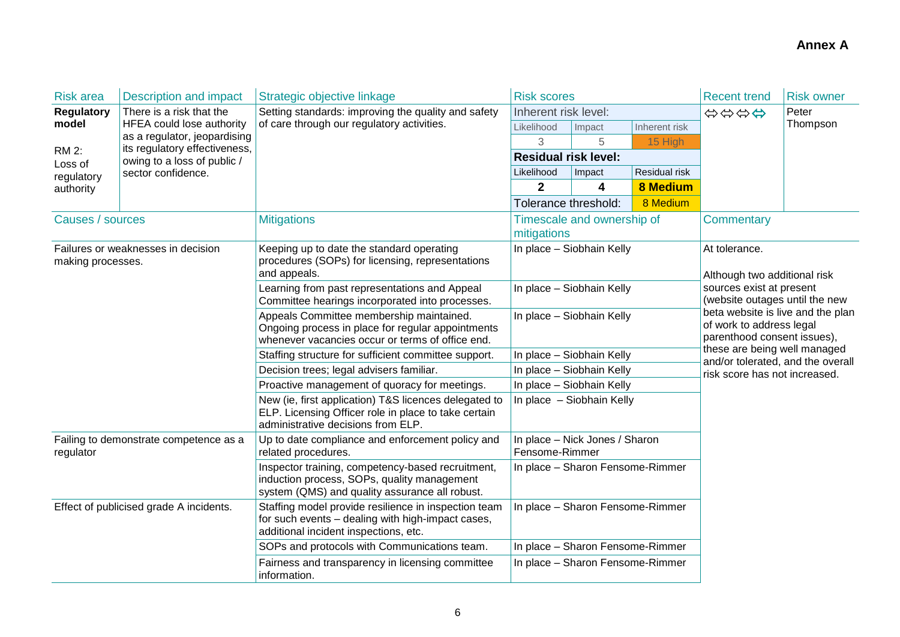| <b>Risk area</b>  | Description and impact                                        | Strategic objective linkage                                                                                                                         | <b>Risk scores</b>                                     |                                  |                 | <b>Recent trend</b>                                                                                                                                        | <b>Risk owner</b> |  |
|-------------------|---------------------------------------------------------------|-----------------------------------------------------------------------------------------------------------------------------------------------------|--------------------------------------------------------|----------------------------------|-----------------|------------------------------------------------------------------------------------------------------------------------------------------------------------|-------------------|--|
| <b>Regulatory</b> | There is a risk that the                                      | Setting standards: improving the quality and safety                                                                                                 | Inherent risk level:                                   |                                  |                 | Peter<br>\$\$\$\$                                                                                                                                          |                   |  |
| model             | HFEA could lose authority                                     | of care through our regulatory activities.                                                                                                          | Likelihood                                             | Impact                           | Inherent risk   |                                                                                                                                                            | Thompson          |  |
| <b>RM 2:</b>      | as a regulator, jeopardising<br>its regulatory effectiveness, |                                                                                                                                                     | 3                                                      | 5                                | 15 High         |                                                                                                                                                            |                   |  |
| Loss of           | owing to a loss of public /                                   |                                                                                                                                                     | <b>Residual risk level:</b>                            |                                  |                 |                                                                                                                                                            |                   |  |
| regulatory        | sector confidence.                                            |                                                                                                                                                     | Likelihood                                             | Impact                           | Residual risk   |                                                                                                                                                            |                   |  |
| authority         |                                                               |                                                                                                                                                     | $\mathbf{2}$                                           | 4                                | <b>8 Medium</b> |                                                                                                                                                            |                   |  |
|                   |                                                               |                                                                                                                                                     | Tolerance threshold:                                   |                                  | 8 Medium        |                                                                                                                                                            |                   |  |
| Causes / sources  |                                                               | <b>Mitigations</b>                                                                                                                                  | mitigations                                            | Timescale and ownership of       |                 | Commentary                                                                                                                                                 |                   |  |
| making processes. | Failures or weaknesses in decision                            | Keeping up to date the standard operating<br>procedures (SOPs) for licensing, representations<br>and appeals.                                       |                                                        | In place - Siobhain Kelly        |                 | At tolerance.<br>Although two additional risk                                                                                                              |                   |  |
|                   |                                                               | Learning from past representations and Appeal<br>Committee hearings incorporated into processes.                                                    | In place - Siobhain Kelly<br>In place - Siobhain Kelly |                                  |                 | sources exist at present<br>(website outages until the new<br>beta website is live and the plan<br>of work to address legal<br>parenthood consent issues), |                   |  |
|                   |                                                               | Appeals Committee membership maintained.<br>Ongoing process in place for regular appointments<br>whenever vacancies occur or terms of office end.   |                                                        |                                  |                 |                                                                                                                                                            |                   |  |
|                   |                                                               | Staffing structure for sufficient committee support.                                                                                                |                                                        | In place - Siobhain Kelly        |                 | these are being well managed<br>and/or tolerated, and the overall                                                                                          |                   |  |
|                   |                                                               | Decision trees; legal advisers familiar.                                                                                                            |                                                        | In place - Siobhain Kelly        |                 | risk score has not increased.                                                                                                                              |                   |  |
|                   |                                                               | Proactive management of quoracy for meetings.                                                                                                       |                                                        | In place - Siobhain Kelly        |                 |                                                                                                                                                            |                   |  |
|                   |                                                               | New (ie, first application) T&S licences delegated to<br>ELP. Licensing Officer role in place to take certain<br>administrative decisions from ELP. | In place - Siobhain Kelly                              |                                  |                 |                                                                                                                                                            |                   |  |
| regulator         | Failing to demonstrate competence as a                        | Up to date compliance and enforcement policy and<br>related procedures.                                                                             | In place - Nick Jones / Sharon<br>Fensome-Rimmer       |                                  |                 |                                                                                                                                                            |                   |  |
|                   |                                                               | Inspector training, competency-based recruitment,<br>induction process, SOPs, quality management<br>system (QMS) and quality assurance all robust.  | In place - Sharon Fensome-Rimmer                       |                                  |                 |                                                                                                                                                            |                   |  |
|                   | Effect of publicised grade A incidents.                       | Staffing model provide resilience in inspection team<br>for such events - dealing with high-impact cases,<br>additional incident inspections, etc.  | In place - Sharon Fensome-Rimmer                       |                                  |                 |                                                                                                                                                            |                   |  |
|                   |                                                               | SOPs and protocols with Communications team.                                                                                                        |                                                        | In place - Sharon Fensome-Rimmer |                 |                                                                                                                                                            |                   |  |
|                   |                                                               | Fairness and transparency in licensing committee<br>information.                                                                                    | In place - Sharon Fensome-Rimmer                       |                                  |                 |                                                                                                                                                            |                   |  |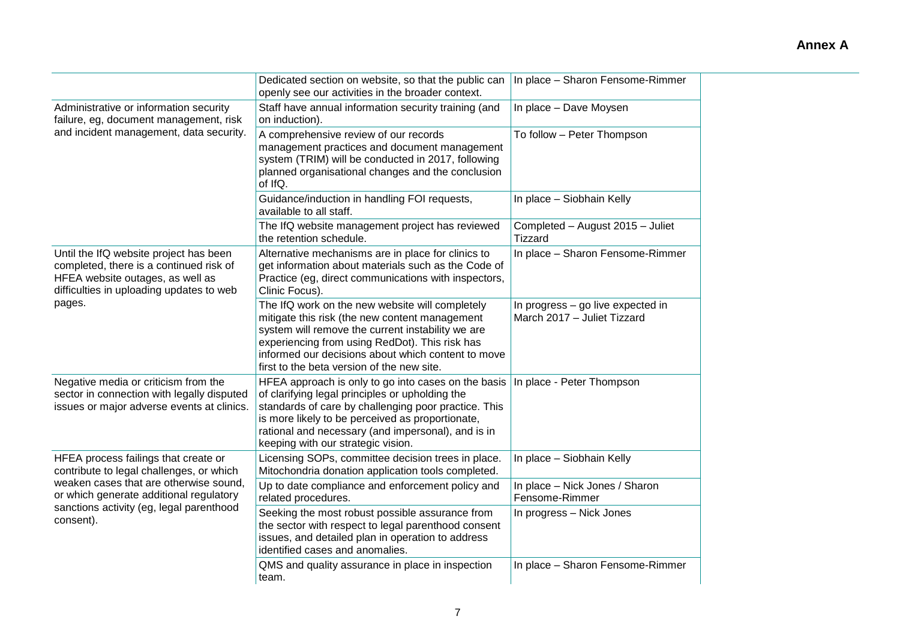|                                                                                                                                                                   | Dedicated section on website, so that the public can<br>openly see our activities in the broader context.                                                                                                                                                                                                      | In place - Sharon Fensome-Rimmer                                 |
|-------------------------------------------------------------------------------------------------------------------------------------------------------------------|----------------------------------------------------------------------------------------------------------------------------------------------------------------------------------------------------------------------------------------------------------------------------------------------------------------|------------------------------------------------------------------|
| Administrative or information security<br>failure, eg, document management, risk                                                                                  | Staff have annual information security training (and<br>on induction).                                                                                                                                                                                                                                         | In place - Dave Moysen                                           |
| and incident management, data security.                                                                                                                           | A comprehensive review of our records<br>management practices and document management<br>system (TRIM) will be conducted in 2017, following<br>planned organisational changes and the conclusion<br>of IfQ.                                                                                                    | To follow - Peter Thompson                                       |
|                                                                                                                                                                   | Guidance/induction in handling FOI requests,<br>available to all staff.                                                                                                                                                                                                                                        | In place - Siobhain Kelly                                        |
|                                                                                                                                                                   | The IfQ website management project has reviewed<br>the retention schedule.                                                                                                                                                                                                                                     | Completed - August 2015 - Juliet<br><b>Tizzard</b>               |
| Until the IfQ website project has been<br>completed, there is a continued risk of<br>HFEA website outages, as well as<br>difficulties in uploading updates to web | Alternative mechanisms are in place for clinics to<br>get information about materials such as the Code of<br>Practice (eg, direct communications with inspectors,<br>Clinic Focus).                                                                                                                            | In place - Sharon Fensome-Rimmer                                 |
| pages.                                                                                                                                                            | The IfQ work on the new website will completely<br>mitigate this risk (the new content management<br>system will remove the current instability we are<br>experiencing from using RedDot). This risk has<br>informed our decisions about which content to move<br>first to the beta version of the new site.   | In progress - go live expected in<br>March 2017 - Juliet Tizzard |
| Negative media or criticism from the<br>sector in connection with legally disputed<br>issues or major adverse events at clinics.                                  | HFEA approach is only to go into cases on the basis<br>of clarifying legal principles or upholding the<br>standards of care by challenging poor practice. This<br>is more likely to be perceived as proportionate,<br>rational and necessary (and impersonal), and is in<br>keeping with our strategic vision. | In place - Peter Thompson                                        |
| HFEA process failings that create or<br>contribute to legal challenges, or which                                                                                  | Licensing SOPs, committee decision trees in place.<br>Mitochondria donation application tools completed.                                                                                                                                                                                                       | In place - Siobhain Kelly                                        |
| weaken cases that are otherwise sound,<br>or which generate additional regulatory                                                                                 | Up to date compliance and enforcement policy and<br>related procedures.                                                                                                                                                                                                                                        | In place - Nick Jones / Sharon<br>Fensome-Rimmer                 |
| sanctions activity (eg, legal parenthood<br>consent).                                                                                                             | Seeking the most robust possible assurance from<br>the sector with respect to legal parenthood consent<br>issues, and detailed plan in operation to address<br>identified cases and anomalies.                                                                                                                 | In progress - Nick Jones                                         |
|                                                                                                                                                                   | QMS and quality assurance in place in inspection<br>team.                                                                                                                                                                                                                                                      | In place - Sharon Fensome-Rimmer                                 |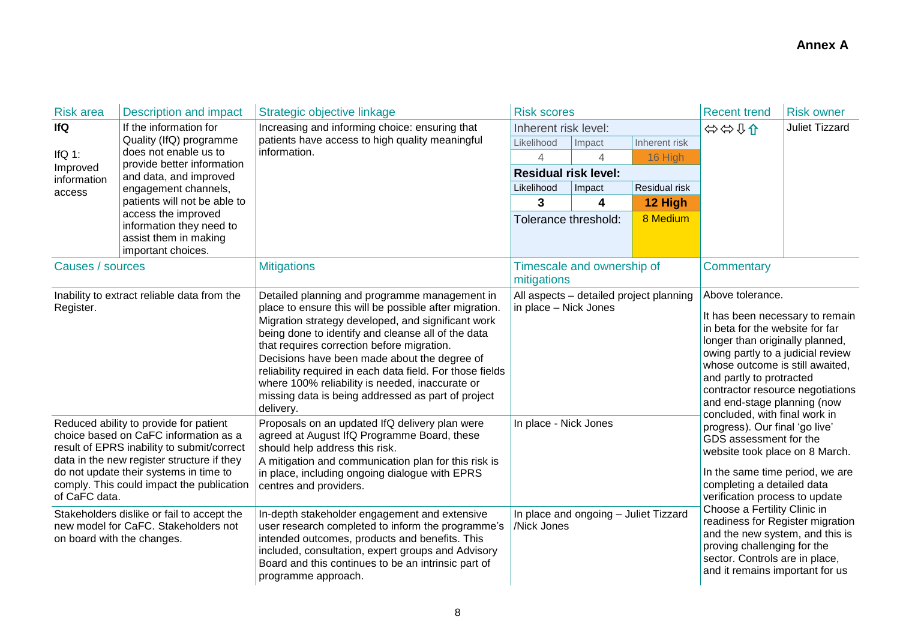| <b>Risk area</b>           | <b>Description and impact</b>                                                   | Strategic objective linkage                                                                               | <b>Risk scores</b>          |                                       |                                         | <b>Recent trend</b>                                                                                   | <b>Risk owner</b>     |
|----------------------------|---------------------------------------------------------------------------------|-----------------------------------------------------------------------------------------------------------|-----------------------------|---------------------------------------|-----------------------------------------|-------------------------------------------------------------------------------------------------------|-----------------------|
| lfQ                        | If the information for                                                          | Increasing and informing choice: ensuring that                                                            | Inherent risk level:        |                                       |                                         | ⇔⇔01                                                                                                  | <b>Juliet Tizzard</b> |
|                            | Quality (IfQ) programme<br>does not enable us to                                | patients have access to high quality meaningful<br>information.                                           | Likelihood                  | Impact                                | Inherent risk                           |                                                                                                       |                       |
| IfQ $1$ :<br>Improved      | provide better information                                                      |                                                                                                           | 4                           | $\overline{4}$                        | 16 High                                 |                                                                                                       |                       |
| information                | and data, and improved                                                          |                                                                                                           | <b>Residual risk level:</b> |                                       |                                         |                                                                                                       |                       |
| access                     | engagement channels,                                                            |                                                                                                           | Likelihood                  | Impact                                | Residual risk                           |                                                                                                       |                       |
|                            | patients will not be able to<br>access the improved                             |                                                                                                           | 3                           | 4                                     | 12 High                                 |                                                                                                       |                       |
|                            | information they need to                                                        |                                                                                                           | Tolerance threshold:        |                                       | 8 Medium                                |                                                                                                       |                       |
|                            | assist them in making                                                           |                                                                                                           |                             |                                       |                                         |                                                                                                       |                       |
|                            | important choices.                                                              |                                                                                                           |                             |                                       |                                         |                                                                                                       |                       |
| Causes / sources           |                                                                                 | <b>Mitigations</b>                                                                                        |                             | Timescale and ownership of            |                                         | <b>Commentary</b>                                                                                     |                       |
|                            |                                                                                 |                                                                                                           | mitigations                 |                                       |                                         | Above tolerance.                                                                                      |                       |
| Register.                  | Inability to extract reliable data from the                                     | Detailed planning and programme management in<br>place to ensure this will be possible after migration.   | in place - Nick Jones       |                                       | All aspects - detailed project planning | It has been necessary to remain<br>in beta for the website for far<br>longer than originally planned, |                       |
|                            |                                                                                 | Migration strategy developed, and significant work                                                        |                             |                                       |                                         |                                                                                                       |                       |
|                            |                                                                                 | being done to identify and cleanse all of the data                                                        |                             |                                       |                                         |                                                                                                       |                       |
|                            |                                                                                 | that requires correction before migration.                                                                |                             |                                       |                                         | owing partly to a judicial review                                                                     |                       |
|                            |                                                                                 | Decisions have been made about the degree of<br>reliability required in each data field. For those fields |                             |                                       |                                         | whose outcome is still awaited,                                                                       |                       |
|                            |                                                                                 | where 100% reliability is needed, inaccurate or                                                           |                             |                                       |                                         | and partly to protracted                                                                              |                       |
|                            |                                                                                 | missing data is being addressed as part of project                                                        |                             |                                       |                                         | contractor resource negotiations<br>and end-stage planning (now                                       |                       |
|                            |                                                                                 | delivery.                                                                                                 |                             |                                       |                                         | concluded, with final work in                                                                         |                       |
|                            | Reduced ability to provide for patient<br>choice based on CaFC information as a | Proposals on an updated IfQ delivery plan were<br>agreed at August IfQ Programme Board, these             | In place - Nick Jones       |                                       |                                         | progress). Our final 'go live'                                                                        |                       |
|                            | result of EPRS inability to submit/correct                                      | should help address this risk.                                                                            |                             |                                       |                                         | GDS assessment for the<br>website took place on 8 March.                                              |                       |
|                            | data in the new register structure if they                                      | A mitigation and communication plan for this risk is                                                      |                             |                                       |                                         |                                                                                                       |                       |
|                            | do not update their systems in time to                                          | in place, including ongoing dialogue with EPRS                                                            |                             |                                       |                                         | In the same time period, we are                                                                       |                       |
| of CaFC data.              | comply. This could impact the publication                                       | centres and providers.                                                                                    |                             |                                       |                                         | completing a detailed data<br>verification process to update                                          |                       |
|                            | Stakeholders dislike or fail to accept the                                      | In-depth stakeholder engagement and extensive                                                             |                             | In place and ongoing - Juliet Tizzard |                                         | Choose a Fertility Clinic in                                                                          |                       |
|                            | new model for CaFC. Stakeholders not                                            | user research completed to inform the programme's                                                         | /Nick Jones                 |                                       |                                         | readiness for Register migration                                                                      |                       |
| on board with the changes. |                                                                                 | intended outcomes, products and benefits. This                                                            |                             |                                       |                                         | and the new system, and this is<br>proving challenging for the                                        |                       |
|                            |                                                                                 | included, consultation, expert groups and Advisory                                                        |                             |                                       |                                         | sector. Controls are in place,                                                                        |                       |
|                            |                                                                                 | Board and this continues to be an intrinsic part of<br>programme approach.                                |                             |                                       |                                         | and it remains important for us                                                                       |                       |
|                            |                                                                                 |                                                                                                           |                             |                                       |                                         |                                                                                                       |                       |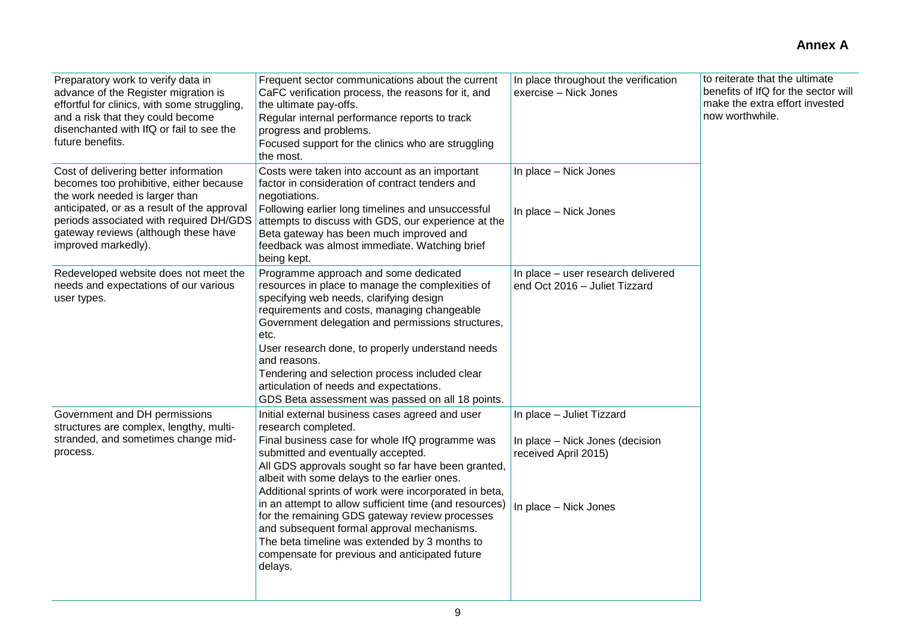| Preparatory work to verify data in<br>advance of the Register migration is<br>effortful for clinics, with some struggling,<br>and a risk that they could become<br>disenchanted with IfQ or fail to see the<br>future benefits.                                             | Frequent sector communications about the current<br>CaFC verification process, the reasons for it, and<br>the ultimate pay-offs.<br>Regular internal performance reports to track<br>progress and problems.<br>Focused support for the clinics who are struggling<br>the most.                                                                                                                                                                                                                                                                                                                         | In place throughout the verification<br>exercise - Nick Jones                                                 | to reiterate that the ultimate<br>benefits of IfQ for the sector will<br>make the extra effort invested<br>now worthwhile. |
|-----------------------------------------------------------------------------------------------------------------------------------------------------------------------------------------------------------------------------------------------------------------------------|--------------------------------------------------------------------------------------------------------------------------------------------------------------------------------------------------------------------------------------------------------------------------------------------------------------------------------------------------------------------------------------------------------------------------------------------------------------------------------------------------------------------------------------------------------------------------------------------------------|---------------------------------------------------------------------------------------------------------------|----------------------------------------------------------------------------------------------------------------------------|
| Cost of delivering better information<br>becomes too prohibitive, either because<br>the work needed is larger than<br>anticipated, or as a result of the approval<br>periods associated with required DH/GDS<br>gateway reviews (although these have<br>improved markedly). | Costs were taken into account as an important<br>factor in consideration of contract tenders and<br>negotiations.<br>Following earlier long timelines and unsuccessful<br>attempts to discuss with GDS, our experience at the<br>Beta gateway has been much improved and<br>feedback was almost immediate. Watching brief<br>being kept.                                                                                                                                                                                                                                                               | In place - Nick Jones<br>In place - Nick Jones                                                                |                                                                                                                            |
| Redeveloped website does not meet the<br>needs and expectations of our various<br>user types.                                                                                                                                                                               | Programme approach and some dedicated<br>resources in place to manage the complexities of<br>specifying web needs, clarifying design<br>requirements and costs, managing changeable<br>Government delegation and permissions structures,<br>etc.<br>User research done, to properly understand needs<br>and reasons.<br>Tendering and selection process included clear<br>articulation of needs and expectations.<br>GDS Beta assessment was passed on all 18 points.                                                                                                                                  | In place - user research delivered<br>end Oct 2016 - Juliet Tizzard                                           |                                                                                                                            |
| Government and DH permissions<br>structures are complex, lengthy, multi-<br>stranded, and sometimes change mid-<br>process.                                                                                                                                                 | Initial external business cases agreed and user<br>research completed.<br>Final business case for whole IfQ programme was<br>submitted and eventually accepted.<br>All GDS approvals sought so far have been granted,<br>albeit with some delays to the earlier ones.<br>Additional sprints of work were incorporated in beta,<br>in an attempt to allow sufficient time (and resources)<br>for the remaining GDS gateway review processes<br>and subsequent formal approval mechanisms.<br>The beta timeline was extended by 3 months to<br>compensate for previous and anticipated future<br>delays. | In place - Juliet Tizzard<br>In place - Nick Jones (decision<br>received April 2015)<br>In place - Nick Jones |                                                                                                                            |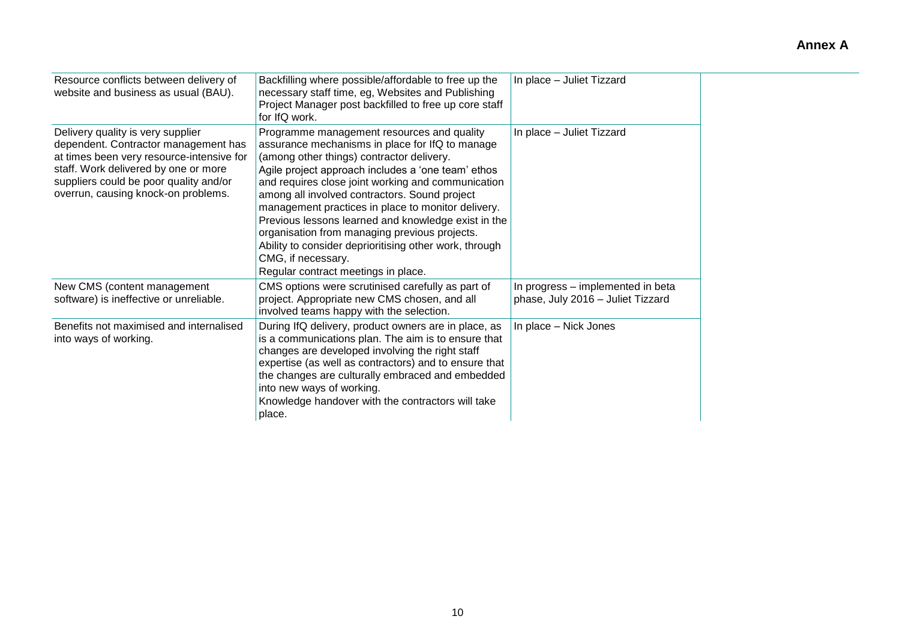| Resource conflicts between delivery of<br>website and business as usual (BAU).                                                                                                                                                                  | Backfilling where possible/affordable to free up the<br>necessary staff time, eg, Websites and Publishing<br>Project Manager post backfilled to free up core staff<br>for IfQ work.                                                                                                                                                                                                                                                                                                                                                                                                          | In place - Juliet Tizzard                                              |
|-------------------------------------------------------------------------------------------------------------------------------------------------------------------------------------------------------------------------------------------------|----------------------------------------------------------------------------------------------------------------------------------------------------------------------------------------------------------------------------------------------------------------------------------------------------------------------------------------------------------------------------------------------------------------------------------------------------------------------------------------------------------------------------------------------------------------------------------------------|------------------------------------------------------------------------|
| Delivery quality is very supplier<br>dependent. Contractor management has<br>at times been very resource-intensive for<br>staff. Work delivered by one or more<br>suppliers could be poor quality and/or<br>overrun, causing knock-on problems. | Programme management resources and quality<br>assurance mechanisms in place for IfQ to manage<br>(among other things) contractor delivery.<br>Agile project approach includes a 'one team' ethos<br>and requires close joint working and communication<br>among all involved contractors. Sound project<br>management practices in place to monitor delivery.<br>Previous lessons learned and knowledge exist in the<br>organisation from managing previous projects.<br>Ability to consider deprioritising other work, through<br>CMG, if necessary.<br>Regular contract meetings in place. | In place - Juliet Tizzard                                              |
| New CMS (content management<br>software) is ineffective or unreliable.                                                                                                                                                                          | CMS options were scrutinised carefully as part of<br>project. Appropriate new CMS chosen, and all<br>involved teams happy with the selection.                                                                                                                                                                                                                                                                                                                                                                                                                                                | In progress - implemented in beta<br>phase, July 2016 - Juliet Tizzard |
| Benefits not maximised and internalised<br>into ways of working.                                                                                                                                                                                | During IfQ delivery, product owners are in place, as<br>is a communications plan. The aim is to ensure that<br>changes are developed involving the right staff<br>expertise (as well as contractors) and to ensure that<br>the changes are culturally embraced and embedded<br>into new ways of working.<br>Knowledge handover with the contractors will take<br>place.                                                                                                                                                                                                                      | In place - Nick Jones                                                  |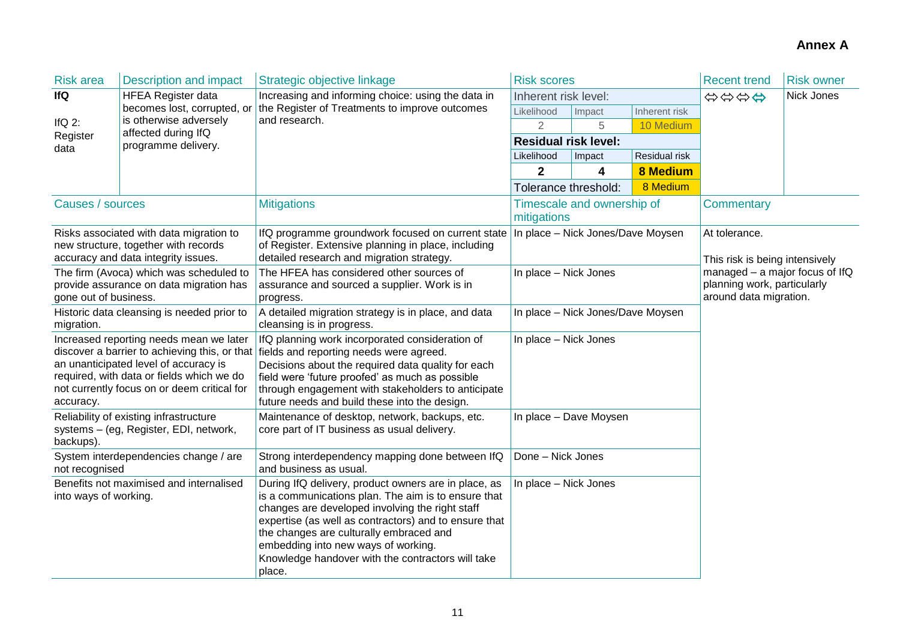| <b>Risk area</b>      | <b>Description and impact</b>                                                                                                                                                | Strategic objective linkage                                                                                                                                                                                                                                                                                                                                              | <b>Risk scores</b>                |                            |                                                                                         | <b>Recent trend</b> | <b>Risk owner</b> |
|-----------------------|------------------------------------------------------------------------------------------------------------------------------------------------------------------------------|--------------------------------------------------------------------------------------------------------------------------------------------------------------------------------------------------------------------------------------------------------------------------------------------------------------------------------------------------------------------------|-----------------------------------|----------------------------|-----------------------------------------------------------------------------------------|---------------------|-------------------|
| <b>IfQ</b>            | <b>HFEA Register data</b>                                                                                                                                                    | Increasing and informing choice: using the data in                                                                                                                                                                                                                                                                                                                       | Inherent risk level:              |                            |                                                                                         | \$\$\$\$            | Nick Jones        |
|                       | becomes lost, corrupted, or                                                                                                                                                  | the Register of Treatments to improve outcomes                                                                                                                                                                                                                                                                                                                           | Likelihood                        | Impact                     | Inherent risk                                                                           |                     |                   |
| If $Q$ 2:             | is otherwise adversely<br>affected during IfQ                                                                                                                                | and research.                                                                                                                                                                                                                                                                                                                                                            | $\overline{2}$                    | 5                          | 10 Medium                                                                               |                     |                   |
| Register<br>data      | programme delivery.                                                                                                                                                          |                                                                                                                                                                                                                                                                                                                                                                          | <b>Residual risk level:</b>       |                            |                                                                                         |                     |                   |
|                       |                                                                                                                                                                              |                                                                                                                                                                                                                                                                                                                                                                          | Likelihood                        | Impact                     | Residual risk                                                                           |                     |                   |
|                       |                                                                                                                                                                              |                                                                                                                                                                                                                                                                                                                                                                          | $\overline{2}$                    | 4                          | <b>8 Medium</b>                                                                         |                     |                   |
|                       |                                                                                                                                                                              |                                                                                                                                                                                                                                                                                                                                                                          | Tolerance threshold:              |                            | 8 Medium                                                                                |                     |                   |
| Causes / sources      |                                                                                                                                                                              | <b>Mitigations</b>                                                                                                                                                                                                                                                                                                                                                       | mitigations                       | Timescale and ownership of |                                                                                         | <b>Commentary</b>   |                   |
|                       | Risks associated with data migration to<br>new structure, together with records<br>accuracy and data integrity issues.                                                       | IfQ programme groundwork focused on current state<br>of Register. Extensive planning in place, including<br>detailed research and migration strategy.                                                                                                                                                                                                                    | In place - Nick Jones/Dave Moysen |                            | At tolerance.<br>This risk is being intensively                                         |                     |                   |
| gone out of business. | The firm (Avoca) which was scheduled to<br>provide assurance on data migration has                                                                                           | The HFEA has considered other sources of<br>assurance and sourced a supplier. Work is in<br>progress.                                                                                                                                                                                                                                                                    | In place - Nick Jones             |                            | managed - a major focus of IfQ<br>planning work, particularly<br>around data migration. |                     |                   |
| migration.            | Historic data cleansing is needed prior to                                                                                                                                   | A detailed migration strategy is in place, and data<br>cleansing is in progress.                                                                                                                                                                                                                                                                                         | In place - Nick Jones/Dave Moysen |                            |                                                                                         |                     |                   |
| accuracy.             | Increased reporting needs mean we later<br>an unanticipated level of accuracy is<br>required, with data or fields which we do<br>not currently focus on or deem critical for | IfQ planning work incorporated consideration of<br>discover a barrier to achieving this, or that fields and reporting needs were agreed.<br>Decisions about the required data quality for each<br>field were 'future proofed' as much as possible<br>through engagement with stakeholders to anticipate<br>future needs and build these into the design.                 | In place - Nick Jones             |                            |                                                                                         |                     |                   |
| backups).             | Reliability of existing infrastructure<br>systems - (eg, Register, EDI, network,                                                                                             | Maintenance of desktop, network, backups, etc.<br>core part of IT business as usual delivery.                                                                                                                                                                                                                                                                            | In place - Dave Moysen            |                            |                                                                                         |                     |                   |
| not recognised        | System interdependencies change / are                                                                                                                                        | Strong interdependency mapping done between IfQ<br>and business as usual.                                                                                                                                                                                                                                                                                                | Done - Nick Jones                 |                            |                                                                                         |                     |                   |
| into ways of working. | Benefits not maximised and internalised                                                                                                                                      | During IfQ delivery, product owners are in place, as<br>is a communications plan. The aim is to ensure that<br>changes are developed involving the right staff<br>expertise (as well as contractors) and to ensure that<br>the changes are culturally embraced and<br>embedding into new ways of working.<br>Knowledge handover with the contractors will take<br>place. | In place - Nick Jones             |                            |                                                                                         |                     |                   |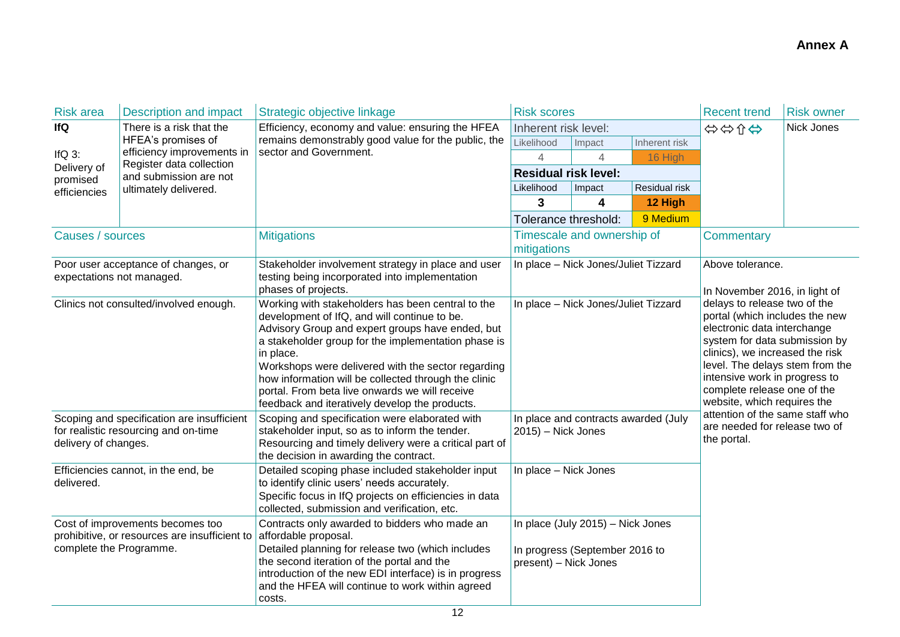| <b>Risk area</b>        | <b>Description and impact</b>                                                      | Strategic objective linkage                                                                                                                                                                                                                                                                                                                                                                                                                 | <b>Risk scores</b>                                                                           |                            |                                                                                 | <b>Recent trend</b>                                                                                                                                                                                                                                                                                                                                      | <b>Risk owner</b> |
|-------------------------|------------------------------------------------------------------------------------|---------------------------------------------------------------------------------------------------------------------------------------------------------------------------------------------------------------------------------------------------------------------------------------------------------------------------------------------------------------------------------------------------------------------------------------------|----------------------------------------------------------------------------------------------|----------------------------|---------------------------------------------------------------------------------|----------------------------------------------------------------------------------------------------------------------------------------------------------------------------------------------------------------------------------------------------------------------------------------------------------------------------------------------------------|-------------------|
| lfQ                     | There is a risk that the                                                           | Efficiency, economy and value: ensuring the HFEA                                                                                                                                                                                                                                                                                                                                                                                            | Inherent risk level:                                                                         |                            |                                                                                 | Nick Jones<br>⇔⇔☆⇔                                                                                                                                                                                                                                                                                                                                       |                   |
|                         | HFEA's promises of                                                                 | remains demonstrably good value for the public, the                                                                                                                                                                                                                                                                                                                                                                                         | Likelihood                                                                                   | Impact                     | Inherent risk                                                                   |                                                                                                                                                                                                                                                                                                                                                          |                   |
| IfQ $3$ :               | efficiency improvements in<br>Register data collection                             | sector and Government.                                                                                                                                                                                                                                                                                                                                                                                                                      | 4                                                                                            | 4                          | 16 High                                                                         |                                                                                                                                                                                                                                                                                                                                                          |                   |
| Delivery of<br>promised | and submission are not                                                             |                                                                                                                                                                                                                                                                                                                                                                                                                                             | <b>Residual risk level:</b>                                                                  |                            |                                                                                 |                                                                                                                                                                                                                                                                                                                                                          |                   |
| efficiencies            | ultimately delivered.                                                              |                                                                                                                                                                                                                                                                                                                                                                                                                                             | Likelihood                                                                                   | Impact                     | Residual risk                                                                   |                                                                                                                                                                                                                                                                                                                                                          |                   |
|                         |                                                                                    |                                                                                                                                                                                                                                                                                                                                                                                                                                             | 3                                                                                            | 4                          | 12 High                                                                         |                                                                                                                                                                                                                                                                                                                                                          |                   |
|                         |                                                                                    |                                                                                                                                                                                                                                                                                                                                                                                                                                             | Tolerance threshold:                                                                         |                            | 9 Medium                                                                        |                                                                                                                                                                                                                                                                                                                                                          |                   |
| Causes / sources        |                                                                                    | <b>Mitigations</b>                                                                                                                                                                                                                                                                                                                                                                                                                          | mitigations                                                                                  | Timescale and ownership of |                                                                                 | Commentary                                                                                                                                                                                                                                                                                                                                               |                   |
|                         | Poor user acceptance of changes, or<br>expectations not managed.                   | Stakeholder involvement strategy in place and user<br>testing being incorporated into implementation<br>phases of projects.                                                                                                                                                                                                                                                                                                                 | In place - Nick Jones/Juliet Tizzard                                                         |                            |                                                                                 | Above tolerance.<br>In November 2016, in light of<br>delays to release two of the<br>portal (which includes the new<br>electronic data interchange<br>system for data submission by<br>clinics), we increased the risk<br>level. The delays stem from the<br>intensive work in progress to<br>complete release one of the<br>website, which requires the |                   |
|                         | Clinics not consulted/involved enough.                                             | Working with stakeholders has been central to the<br>development of IfQ, and will continue to be.<br>Advisory Group and expert groups have ended, but<br>a stakeholder group for the implementation phase is<br>in place.<br>Workshops were delivered with the sector regarding<br>how information will be collected through the clinic<br>portal. From beta live onwards we will receive<br>feedback and iteratively develop the products. | In place - Nick Jones/Juliet Tizzard                                                         |                            |                                                                                 |                                                                                                                                                                                                                                                                                                                                                          |                   |
| delivery of changes.    | Scoping and specification are insufficient<br>for realistic resourcing and on-time | Scoping and specification were elaborated with<br>stakeholder input, so as to inform the tender.<br>Resourcing and timely delivery were a critical part of<br>the decision in awarding the contract.                                                                                                                                                                                                                                        | In place and contracts awarded (July<br>$2015$ ) – Nick Jones                                |                            | attention of the same staff who<br>are needed for release two of<br>the portal. |                                                                                                                                                                                                                                                                                                                                                          |                   |
| delivered.              | Efficiencies cannot, in the end, be                                                | Detailed scoping phase included stakeholder input<br>to identify clinic users' needs accurately.<br>Specific focus in IfQ projects on efficiencies in data<br>collected, submission and verification, etc.                                                                                                                                                                                                                                  | In place - Nick Jones                                                                        |                            |                                                                                 |                                                                                                                                                                                                                                                                                                                                                          |                   |
| complete the Programme. | Cost of improvements becomes too<br>prohibitive, or resources are insufficient to  | Contracts only awarded to bidders who made an<br>affordable proposal.<br>Detailed planning for release two (which includes<br>the second iteration of the portal and the<br>introduction of the new EDI interface) is in progress<br>and the HFEA will continue to work within agreed<br>costs.                                                                                                                                             | In place (July 2015) - Nick Jones<br>In progress (September 2016 to<br>present) - Nick Jones |                            |                                                                                 |                                                                                                                                                                                                                                                                                                                                                          |                   |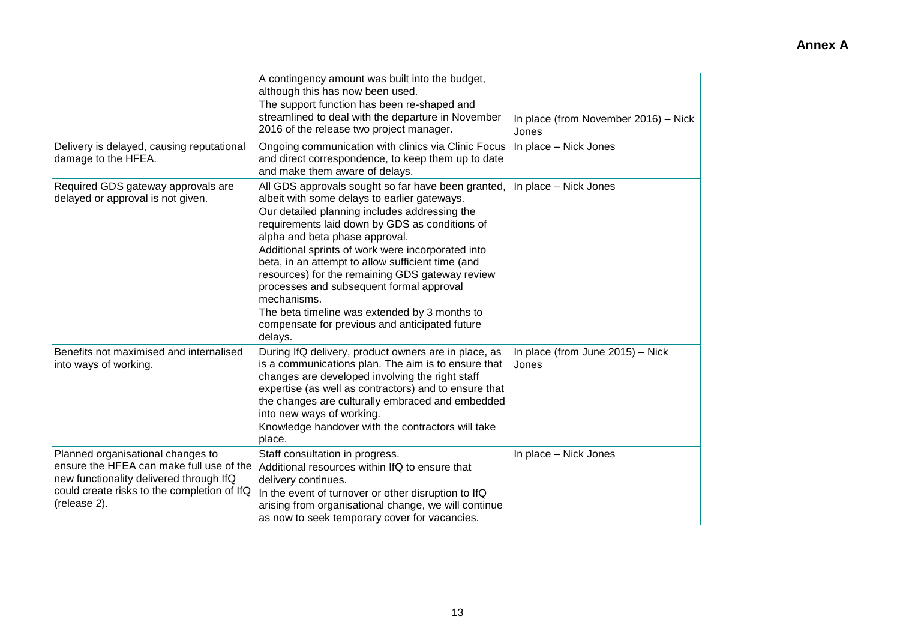|                                                                                                                                                                                         | A contingency amount was built into the budget,<br>although this has now been used.<br>The support function has been re-shaped and<br>streamlined to deal with the departure in November<br>2016 of the release two project manager.                                                                                                                                                                                                                                                                                                                                          | In place (from November 2016) - Nick<br>Jones |
|-----------------------------------------------------------------------------------------------------------------------------------------------------------------------------------------|-------------------------------------------------------------------------------------------------------------------------------------------------------------------------------------------------------------------------------------------------------------------------------------------------------------------------------------------------------------------------------------------------------------------------------------------------------------------------------------------------------------------------------------------------------------------------------|-----------------------------------------------|
| Delivery is delayed, causing reputational<br>damage to the HFEA.                                                                                                                        | Ongoing communication with clinics via Clinic Focus<br>and direct correspondence, to keep them up to date<br>and make them aware of delays.                                                                                                                                                                                                                                                                                                                                                                                                                                   | In place - Nick Jones                         |
| Required GDS gateway approvals are<br>delayed or approval is not given.                                                                                                                 | All GDS approvals sought so far have been granted,<br>albeit with some delays to earlier gateways.<br>Our detailed planning includes addressing the<br>requirements laid down by GDS as conditions of<br>alpha and beta phase approval.<br>Additional sprints of work were incorporated into<br>beta, in an attempt to allow sufficient time (and<br>resources) for the remaining GDS gateway review<br>processes and subsequent formal approval<br>mechanisms.<br>The beta timeline was extended by 3 months to<br>compensate for previous and anticipated future<br>delays. | In place - Nick Jones                         |
| Benefits not maximised and internalised<br>into ways of working.                                                                                                                        | During IfQ delivery, product owners are in place, as<br>is a communications plan. The aim is to ensure that<br>changes are developed involving the right staff<br>expertise (as well as contractors) and to ensure that<br>the changes are culturally embraced and embedded<br>into new ways of working.<br>Knowledge handover with the contractors will take<br>place.                                                                                                                                                                                                       | In place (from June 2015) - Nick<br>Jones     |
| Planned organisational changes to<br>ensure the HFEA can make full use of the<br>new functionality delivered through IfQ<br>could create risks to the completion of IfQ<br>(release 2). | Staff consultation in progress.<br>Additional resources within IfQ to ensure that<br>delivery continues.<br>In the event of turnover or other disruption to IfQ<br>arising from organisational change, we will continue<br>as now to seek temporary cover for vacancies.                                                                                                                                                                                                                                                                                                      | In place - Nick Jones                         |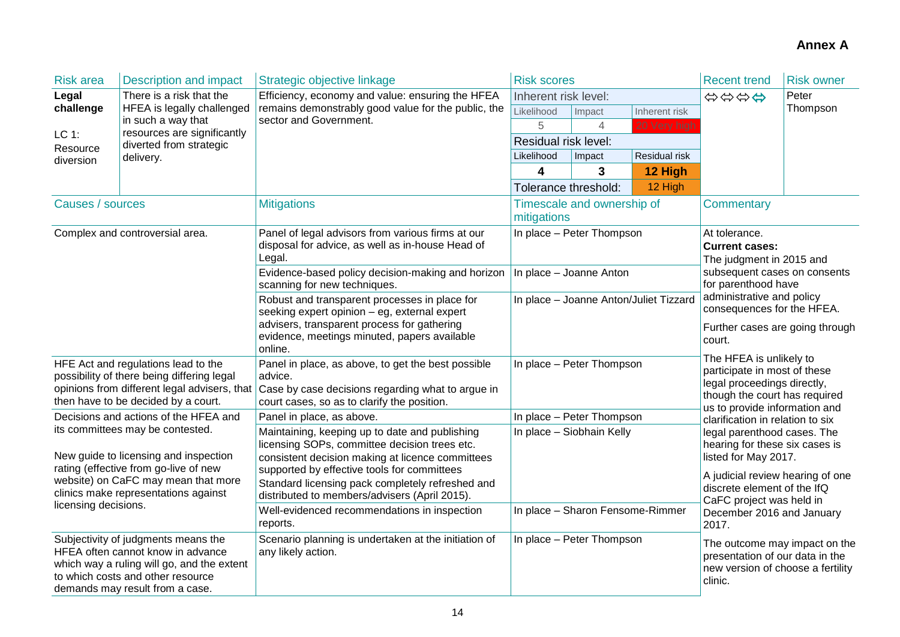| <b>Risk area</b>                                                                                                                                                                                  | <b>Description and impact</b>                                                                                                                                                                  | Strategic objective linkage                                                                                                                                       | <b>Risk scores</b>                                                  |                            |                                                                                                                  | <b>Recent trend</b>                                                                                                                                      | <b>Risk owner</b> |  |
|---------------------------------------------------------------------------------------------------------------------------------------------------------------------------------------------------|------------------------------------------------------------------------------------------------------------------------------------------------------------------------------------------------|-------------------------------------------------------------------------------------------------------------------------------------------------------------------|---------------------------------------------------------------------|----------------------------|------------------------------------------------------------------------------------------------------------------|----------------------------------------------------------------------------------------------------------------------------------------------------------|-------------------|--|
| Legal                                                                                                                                                                                             | There is a risk that the                                                                                                                                                                       | Efficiency, economy and value: ensuring the HFEA<br>remains demonstrably good value for the public, the                                                           | Inherent risk level:                                                |                            |                                                                                                                  | \$\$\$\$                                                                                                                                                 | Peter             |  |
| challenge                                                                                                                                                                                         | HFEA is legally challenged                                                                                                                                                                     |                                                                                                                                                                   | Likelihood                                                          | Impact                     | Inherent risk                                                                                                    |                                                                                                                                                          | Thompson          |  |
| LC 1:                                                                                                                                                                                             | in such a way that<br>resources are significantly                                                                                                                                              | sector and Government.                                                                                                                                            | 5                                                                   | 4                          | 20 Very high                                                                                                     |                                                                                                                                                          |                   |  |
| Resource                                                                                                                                                                                          | diverted from strategic                                                                                                                                                                        |                                                                                                                                                                   | Residual risk level:                                                |                            |                                                                                                                  |                                                                                                                                                          |                   |  |
| diversion                                                                                                                                                                                         | delivery.                                                                                                                                                                                      |                                                                                                                                                                   | Likelihood                                                          | Impact                     | Residual risk                                                                                                    |                                                                                                                                                          |                   |  |
|                                                                                                                                                                                                   |                                                                                                                                                                                                |                                                                                                                                                                   | 4                                                                   | 3                          | 12 High                                                                                                          |                                                                                                                                                          |                   |  |
|                                                                                                                                                                                                   |                                                                                                                                                                                                |                                                                                                                                                                   | Tolerance threshold:                                                |                            | 12 High                                                                                                          |                                                                                                                                                          |                   |  |
| Causes / sources                                                                                                                                                                                  |                                                                                                                                                                                                | <b>Mitigations</b>                                                                                                                                                | mitigations                                                         | Timescale and ownership of |                                                                                                                  | Commentary                                                                                                                                               |                   |  |
|                                                                                                                                                                                                   | Complex and controversial area.                                                                                                                                                                | Panel of legal advisors from various firms at our<br>disposal for advice, as well as in-house Head of<br>Legal.                                                   |                                                                     | In place - Peter Thompson  |                                                                                                                  | At tolerance.<br><b>Current cases:</b><br>The judgment in 2015 and                                                                                       |                   |  |
|                                                                                                                                                                                                   |                                                                                                                                                                                                | Evidence-based policy decision-making and horizon<br>scanning for new techniques.                                                                                 | In place - Joanne Anton                                             |                            |                                                                                                                  | subsequent cases on consents<br>for parenthood have                                                                                                      |                   |  |
| HFE Act and regulations lead to the<br>possibility of there being differing legal<br>opinions from different legal advisers, that<br>then have to be decided by a court.                          |                                                                                                                                                                                                | Robust and transparent processes in place for<br>seeking expert opinion - eg, external expert                                                                     | In place - Joanne Anton/Juliet Tizzard<br>In place - Peter Thompson |                            |                                                                                                                  | administrative and policy<br>consequences for the HFEA.                                                                                                  |                   |  |
|                                                                                                                                                                                                   |                                                                                                                                                                                                | advisers, transparent process for gathering<br>evidence, meetings minuted, papers available<br>online.                                                            |                                                                     |                            |                                                                                                                  | Further cases are going through<br>court.                                                                                                                |                   |  |
|                                                                                                                                                                                                   |                                                                                                                                                                                                | Panel in place, as above, to get the best possible<br>advice.<br>Case by case decisions regarding what to argue in<br>court cases, so as to clarify the position. |                                                                     |                            |                                                                                                                  | The HFEA is unlikely to<br>participate in most of these<br>legal proceedings directly,<br>though the court has required<br>us to provide information and |                   |  |
|                                                                                                                                                                                                   | Decisions and actions of the HFEA and                                                                                                                                                          | Panel in place, as above.                                                                                                                                         |                                                                     | In place - Peter Thompson  |                                                                                                                  | clarification in relation to six                                                                                                                         |                   |  |
| its committees may be contested.<br>New guide to licensing and inspection<br>rating (effective from go-live of new<br>website) on CaFC may mean that more<br>clinics make representations against |                                                                                                                                                                                                | Maintaining, keeping up to date and publishing<br>licensing SOPs, committee decision trees etc.<br>consistent decision making at licence committees               | In place - Siobhain Kelly                                           |                            |                                                                                                                  | legal parenthood cases. The<br>hearing for these six cases is<br>listed for May 2017.                                                                    |                   |  |
|                                                                                                                                                                                                   |                                                                                                                                                                                                | supported by effective tools for committees<br>Standard licensing pack completely refreshed and<br>distributed to members/advisers (April 2015).                  |                                                                     |                            | A judicial review hearing of one<br>discrete element of the IfQ<br>CaFC project was held in                      |                                                                                                                                                          |                   |  |
| licensing decisions.                                                                                                                                                                              |                                                                                                                                                                                                | Well-evidenced recommendations in inspection<br>reports.                                                                                                          | In place - Sharon Fensome-Rimmer                                    |                            |                                                                                                                  | December 2016 and January<br>2017.                                                                                                                       |                   |  |
|                                                                                                                                                                                                   | Subjectivity of judgments means the<br>HFEA often cannot know in advance<br>which way a ruling will go, and the extent<br>to which costs and other resource<br>demands may result from a case. | Scenario planning is undertaken at the initiation of<br>In place - Peter Thompson<br>any likely action.                                                           |                                                                     |                            | The outcome may impact on the<br>presentation of our data in the<br>new version of choose a fertility<br>clinic. |                                                                                                                                                          |                   |  |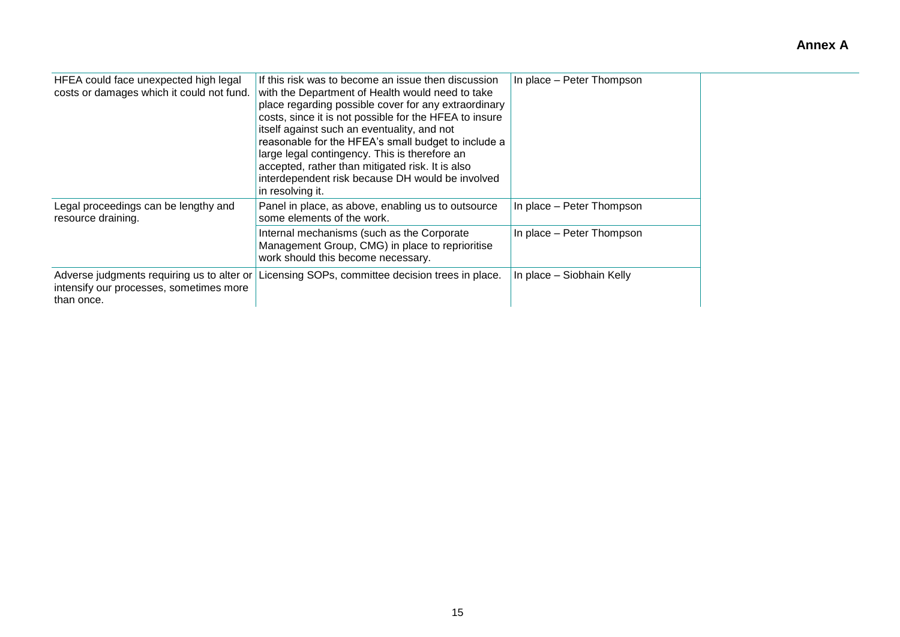| HFEA could face unexpected high legal<br>costs or damages which it could not fund.                  | If this risk was to become an issue then discussion<br>with the Department of Health would need to take<br>place regarding possible cover for any extraordinary<br>costs, since it is not possible for the HFEA to insure<br>itself against such an eventuality, and not<br>reasonable for the HFEA's small budget to include a<br>large legal contingency. This is therefore an<br>accepted, rather than mitigated risk. It is also<br>interdependent risk because DH would be involved<br>in resolving it. | In place - Peter Thompson |
|-----------------------------------------------------------------------------------------------------|--------------------------------------------------------------------------------------------------------------------------------------------------------------------------------------------------------------------------------------------------------------------------------------------------------------------------------------------------------------------------------------------------------------------------------------------------------------------------------------------------------------|---------------------------|
| Legal proceedings can be lengthy and<br>resource draining.                                          | Panel in place, as above, enabling us to outsource<br>some elements of the work.                                                                                                                                                                                                                                                                                                                                                                                                                             | In place – Peter Thompson |
|                                                                                                     | Internal mechanisms (such as the Corporate<br>Management Group, CMG) in place to reprioritise<br>work should this become necessary.                                                                                                                                                                                                                                                                                                                                                                          | In place - Peter Thompson |
| Adverse judgments requiring us to alter or<br>intensify our processes, sometimes more<br>than once. | Licensing SOPs, committee decision trees in place.                                                                                                                                                                                                                                                                                                                                                                                                                                                           | In place - Siobhain Kelly |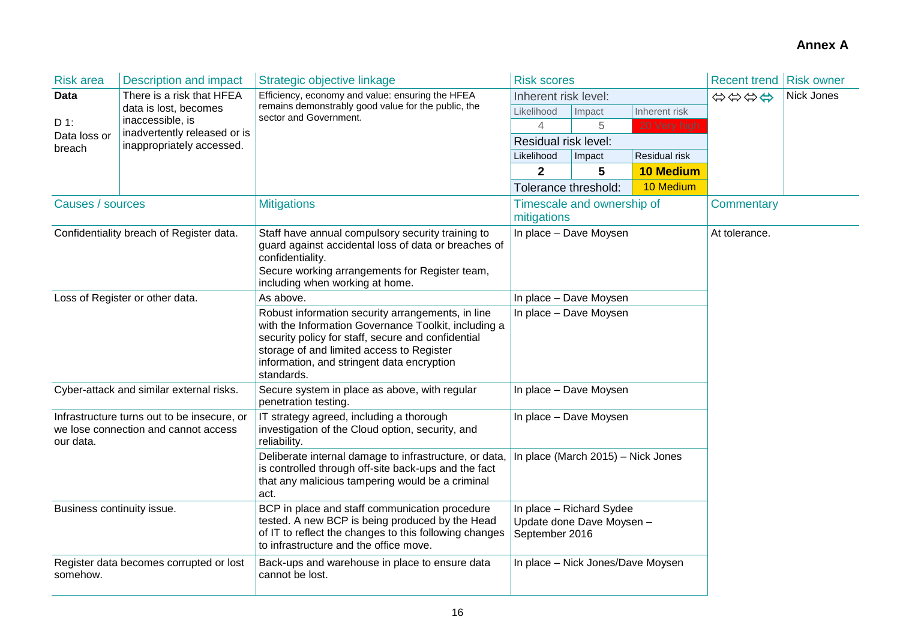| <b>Risk area</b>                                                                                                                                                                                                                    | <b>Description and impact</b>                    | Strategic objective linkage                                                                                                                                                                                                                                              | <b>Risk scores</b>                                                      |                            |                  | <b>Recent trend Risk owner</b> |            |
|-------------------------------------------------------------------------------------------------------------------------------------------------------------------------------------------------------------------------------------|--------------------------------------------------|--------------------------------------------------------------------------------------------------------------------------------------------------------------------------------------------------------------------------------------------------------------------------|-------------------------------------------------------------------------|----------------------------|------------------|--------------------------------|------------|
| <b>Data</b>                                                                                                                                                                                                                         | There is a risk that HFEA                        | Efficiency, economy and value: ensuring the HFEA                                                                                                                                                                                                                         | Inherent risk level:                                                    |                            |                  | \$\$\$\$                       | Nick Jones |
|                                                                                                                                                                                                                                     | data is lost, becomes                            | remains demonstrably good value for the public, the<br>sector and Government.                                                                                                                                                                                            | Likelihood                                                              | Impact                     | Inherent risk    |                                |            |
| $D$ 1:<br>Data loss or                                                                                                                                                                                                              | inaccessible, is<br>inadvertently released or is |                                                                                                                                                                                                                                                                          | 4                                                                       | 5                          | 20 Very high     |                                |            |
| breach                                                                                                                                                                                                                              | inappropriately accessed.                        |                                                                                                                                                                                                                                                                          | Residual risk level:                                                    |                            |                  |                                |            |
|                                                                                                                                                                                                                                     |                                                  |                                                                                                                                                                                                                                                                          | Likelihood                                                              | Impact                     | Residual risk    |                                |            |
|                                                                                                                                                                                                                                     |                                                  |                                                                                                                                                                                                                                                                          | $\mathbf 2$                                                             | 5                          | <b>10 Medium</b> |                                |            |
|                                                                                                                                                                                                                                     |                                                  |                                                                                                                                                                                                                                                                          | Tolerance threshold:                                                    |                            | 10 Medium        |                                |            |
| Causes / sources                                                                                                                                                                                                                    |                                                  | <b>Mitigations</b>                                                                                                                                                                                                                                                       | mitigations                                                             | Timescale and ownership of |                  | <b>Commentary</b>              |            |
| Confidentiality breach of Register data.                                                                                                                                                                                            |                                                  | Staff have annual compulsory security training to<br>guard against accidental loss of data or breaches of<br>confidentiality.<br>Secure working arrangements for Register team,<br>including when working at home.                                                       |                                                                         | In place - Dave Moysen     |                  | At tolerance.                  |            |
|                                                                                                                                                                                                                                     | Loss of Register or other data.                  | As above.                                                                                                                                                                                                                                                                |                                                                         | In place - Dave Moysen     |                  |                                |            |
|                                                                                                                                                                                                                                     |                                                  | Robust information security arrangements, in line<br>with the Information Governance Toolkit, including a<br>security policy for staff, secure and confidential<br>storage of and limited access to Register<br>information, and stringent data encryption<br>standards. |                                                                         | In place - Dave Moysen     |                  |                                |            |
|                                                                                                                                                                                                                                     | Cyber-attack and similar external risks.         | Secure system in place as above, with regular<br>penetration testing.                                                                                                                                                                                                    |                                                                         | In place - Dave Moysen     |                  |                                |            |
| Infrastructure turns out to be insecure, or<br>we lose connection and cannot access<br>our data.                                                                                                                                    |                                                  | IT strategy agreed, including a thorough<br>investigation of the Cloud option, security, and<br>reliability.                                                                                                                                                             | In place - Dave Moysen                                                  |                            |                  |                                |            |
|                                                                                                                                                                                                                                     |                                                  | Deliberate internal damage to infrastructure, or data,<br>is controlled through off-site back-ups and the fact<br>that any malicious tampering would be a criminal<br>act.                                                                                               | In place (March 2015) - Nick Jones                                      |                            |                  |                                |            |
| BCP in place and staff communication procedure<br>Business continuity issue.<br>tested. A new BCP is being produced by the Head<br>of IT to reflect the changes to this following changes<br>to infrastructure and the office move. |                                                  |                                                                                                                                                                                                                                                                          | In place - Richard Sydee<br>Update done Dave Moysen -<br>September 2016 |                            |                  |                                |            |
| somehow.                                                                                                                                                                                                                            | Register data becomes corrupted or lost          | Back-ups and warehouse in place to ensure data<br>cannot be lost.                                                                                                                                                                                                        | In place - Nick Jones/Dave Moysen                                       |                            |                  |                                |            |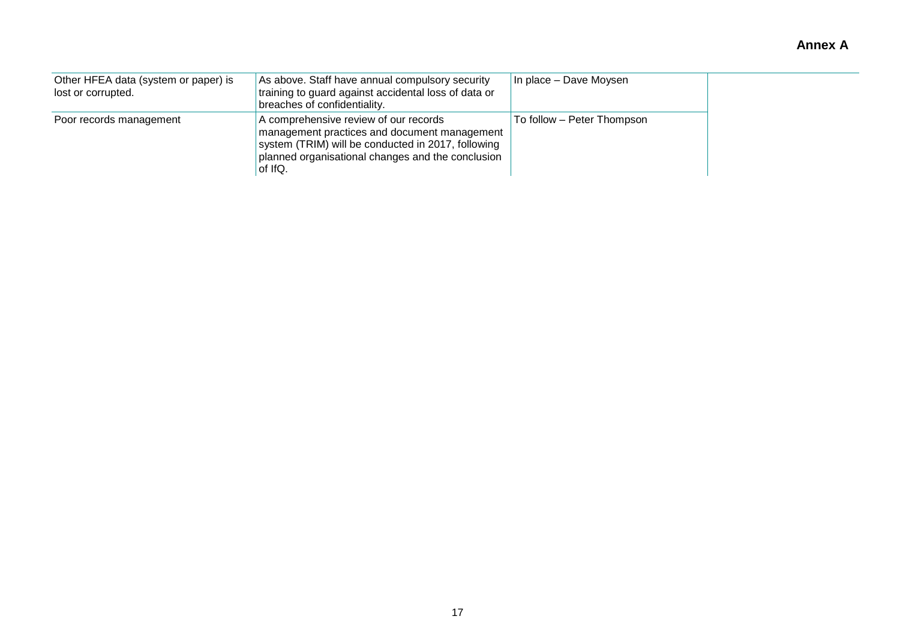| Other HFEA data (system or paper) is<br>lost or corrupted. | As above. Staff have annual compulsory security<br>training to guard against accidental loss of data or<br>breaches of confidentiality.                                                                     | In place - Dave Moysen     |
|------------------------------------------------------------|-------------------------------------------------------------------------------------------------------------------------------------------------------------------------------------------------------------|----------------------------|
| Poor records management                                    | A comprehensive review of our records<br>management practices and document management<br>system (TRIM) will be conducted in 2017, following<br>planned organisational changes and the conclusion<br>of IfQ. | To follow – Peter Thompson |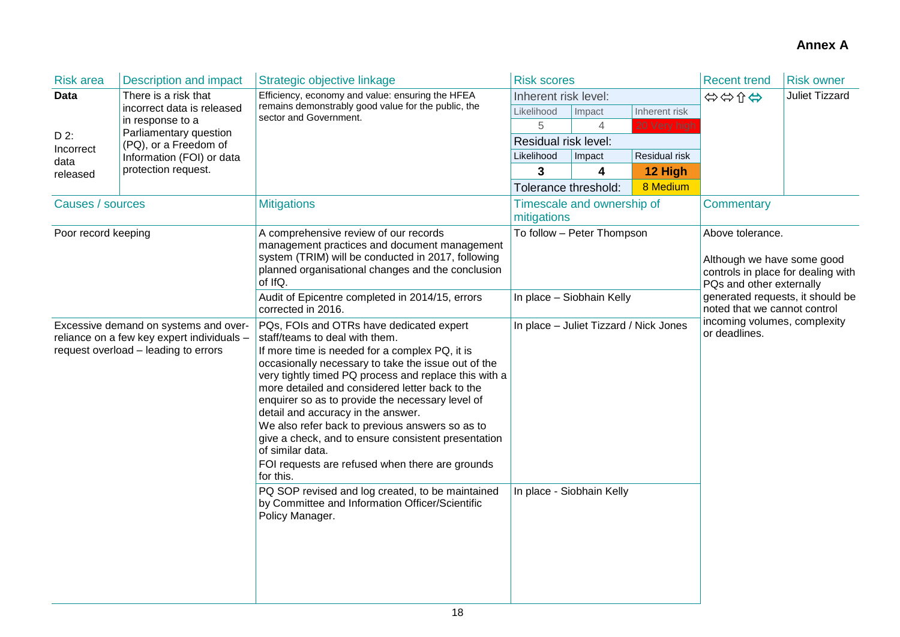| <b>Risk area</b>    | <b>Description and impact</b>                                                                                                                                                                                                                                                                                                                                                                                                                                                                                                                                                                                                                                                                                                                                                                                                                                                                                                                 | Strategic objective linkage                                                                                                                                                                                                                                    | <b>Risk scores</b>                                      |                            |                                               | <b>Recent trend</b>                                                                                                                                                                  | <b>Risk owner</b>     |
|---------------------|-----------------------------------------------------------------------------------------------------------------------------------------------------------------------------------------------------------------------------------------------------------------------------------------------------------------------------------------------------------------------------------------------------------------------------------------------------------------------------------------------------------------------------------------------------------------------------------------------------------------------------------------------------------------------------------------------------------------------------------------------------------------------------------------------------------------------------------------------------------------------------------------------------------------------------------------------|----------------------------------------------------------------------------------------------------------------------------------------------------------------------------------------------------------------------------------------------------------------|---------------------------------------------------------|----------------------------|-----------------------------------------------|--------------------------------------------------------------------------------------------------------------------------------------------------------------------------------------|-----------------------|
| <b>Data</b>         | There is a risk that                                                                                                                                                                                                                                                                                                                                                                                                                                                                                                                                                                                                                                                                                                                                                                                                                                                                                                                          | Efficiency, economy and value: ensuring the HFEA                                                                                                                                                                                                               | Inherent risk level:                                    |                            |                                               | ☆☆☆☆                                                                                                                                                                                 | <b>Juliet Tizzard</b> |
|                     | incorrect data is released                                                                                                                                                                                                                                                                                                                                                                                                                                                                                                                                                                                                                                                                                                                                                                                                                                                                                                                    | remains demonstrably good value for the public, the<br>sector and Government.                                                                                                                                                                                  | Likelihood                                              | Impact                     | Inherent risk                                 |                                                                                                                                                                                      |                       |
|                     | in response to a<br>Parliamentary question                                                                                                                                                                                                                                                                                                                                                                                                                                                                                                                                                                                                                                                                                                                                                                                                                                                                                                    |                                                                                                                                                                                                                                                                | 5                                                       | $\overline{4}$             | 20 Very high                                  |                                                                                                                                                                                      |                       |
| D 2:<br>Incorrect   | (PQ), or a Freedom of                                                                                                                                                                                                                                                                                                                                                                                                                                                                                                                                                                                                                                                                                                                                                                                                                                                                                                                         |                                                                                                                                                                                                                                                                | Residual risk level:                                    |                            |                                               |                                                                                                                                                                                      |                       |
| data                | Information (FOI) or data                                                                                                                                                                                                                                                                                                                                                                                                                                                                                                                                                                                                                                                                                                                                                                                                                                                                                                                     |                                                                                                                                                                                                                                                                | Likelihood                                              | Impact                     | Residual risk                                 |                                                                                                                                                                                      |                       |
| released            | protection request.                                                                                                                                                                                                                                                                                                                                                                                                                                                                                                                                                                                                                                                                                                                                                                                                                                                                                                                           |                                                                                                                                                                                                                                                                | 3                                                       | 4                          | 12 High                                       |                                                                                                                                                                                      |                       |
|                     |                                                                                                                                                                                                                                                                                                                                                                                                                                                                                                                                                                                                                                                                                                                                                                                                                                                                                                                                               |                                                                                                                                                                                                                                                                | Tolerance threshold:                                    |                            | 8 Medium                                      |                                                                                                                                                                                      |                       |
| Causes / sources    |                                                                                                                                                                                                                                                                                                                                                                                                                                                                                                                                                                                                                                                                                                                                                                                                                                                                                                                                               | <b>Mitigations</b>                                                                                                                                                                                                                                             | mitigations                                             | Timescale and ownership of |                                               | <b>Commentary</b>                                                                                                                                                                    |                       |
| Poor record keeping |                                                                                                                                                                                                                                                                                                                                                                                                                                                                                                                                                                                                                                                                                                                                                                                                                                                                                                                                               | A comprehensive review of our records<br>management practices and document management<br>system (TRIM) will be conducted in 2017, following<br>planned organisational changes and the conclusion<br>of IfQ.<br>Audit of Epicentre completed in 2014/15, errors | To follow - Peter Thompson<br>In place - Siobhain Kelly |                            |                                               | Above tolerance.<br>Although we have some good<br>controls in place for dealing with<br>PQs and other externally<br>generated requests, it should be<br>noted that we cannot control |                       |
|                     | corrected in 2016.<br>PQs, FOIs and OTRs have dedicated expert<br>In place - Juliet Tizzard / Nick Jones<br>Excessive demand on systems and over-<br>reliance on a few key expert individuals -<br>staff/teams to deal with them.<br>request overload - leading to errors<br>If more time is needed for a complex PQ, it is<br>occasionally necessary to take the issue out of the<br>very tightly timed PQ process and replace this with a<br>more detailed and considered letter back to the<br>enquirer so as to provide the necessary level of<br>detail and accuracy in the answer.<br>We also refer back to previous answers so as to<br>give a check, and to ensure consistent presentation<br>of similar data.<br>FOI requests are refused when there are grounds<br>for this.<br>PQ SOP revised and log created, to be maintained<br>In place - Siobhain Kelly<br>by Committee and Information Officer/Scientific<br>Policy Manager. |                                                                                                                                                                                                                                                                |                                                         |                            | incoming volumes, complexity<br>or deadlines. |                                                                                                                                                                                      |                       |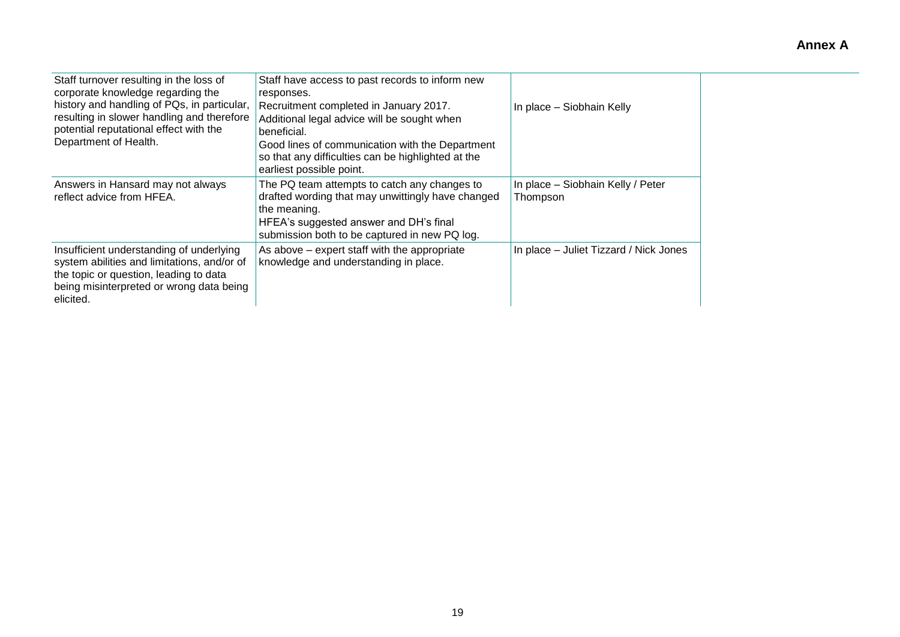| Staff turnover resulting in the loss of<br>corporate knowledge regarding the<br>history and handling of PQs, in particular,<br>resulting in slower handling and therefore<br>potential reputational effect with the<br>Department of Health. | Staff have access to past records to inform new<br>responses.<br>Recruitment completed in January 2017.<br>Additional legal advice will be sought when<br>beneficial.<br>Good lines of communication with the Department<br>so that any difficulties can be highlighted at the<br>earliest possible point. | In place – Siobhain Kelly                     |
|----------------------------------------------------------------------------------------------------------------------------------------------------------------------------------------------------------------------------------------------|------------------------------------------------------------------------------------------------------------------------------------------------------------------------------------------------------------------------------------------------------------------------------------------------------------|-----------------------------------------------|
| Answers in Hansard may not always<br>reflect advice from HFEA.                                                                                                                                                                               | The PQ team attempts to catch any changes to<br>drafted wording that may unwittingly have changed<br>the meaning.<br>HFEA's suggested answer and DH's final<br>submission both to be captured in new PQ log.                                                                                               | In place - Siobhain Kelly / Peter<br>Thompson |
| Insufficient understanding of underlying<br>system abilities and limitations, and/or of<br>the topic or question, leading to data<br>being misinterpreted or wrong data being<br>elicited.                                                   | As above – expert staff with the appropriate<br>knowledge and understanding in place.                                                                                                                                                                                                                      | In place – Juliet Tizzard / Nick Jones        |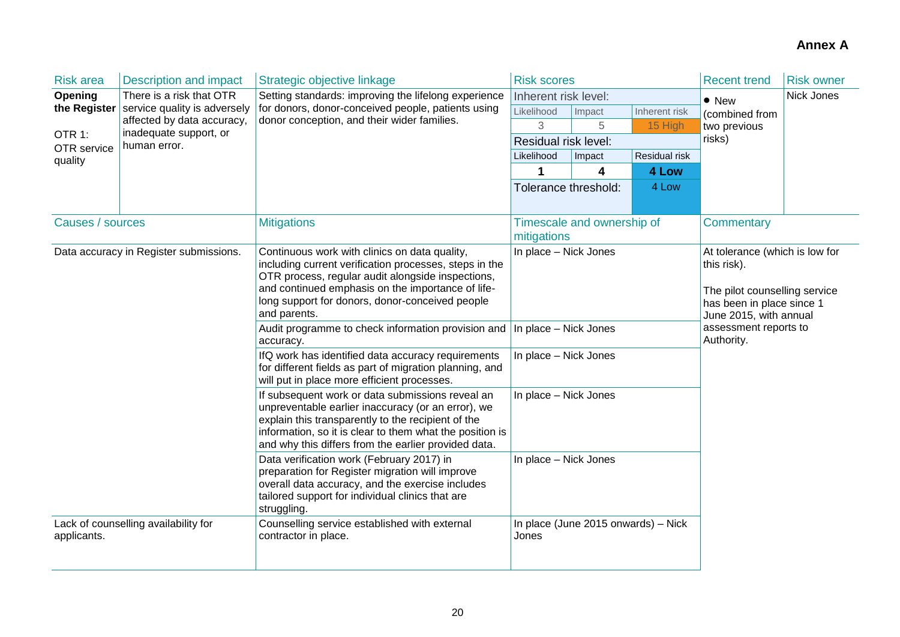| <b>Risk area</b>                       | <b>Description and impact</b>                        | Strategic objective linkage                                                                                                                                                                                                                                                          | <b>Risk scores</b>                                                                                                                                             |                            |               | <b>Recent trend</b>                 | <b>Risk owner</b> |  |
|----------------------------------------|------------------------------------------------------|--------------------------------------------------------------------------------------------------------------------------------------------------------------------------------------------------------------------------------------------------------------------------------------|----------------------------------------------------------------------------------------------------------------------------------------------------------------|----------------------------|---------------|-------------------------------------|-------------------|--|
| Opening<br>There is a risk that OTR    |                                                      | Setting standards: improving the lifelong experience                                                                                                                                                                                                                                 | Inherent risk level:                                                                                                                                           |                            |               | $\bullet$ New                       | Nick Jones        |  |
| the Register                           | service quality is adversely                         | for donors, donor-conceived people, patients using                                                                                                                                                                                                                                   | Likelihood                                                                                                                                                     | Impact                     | Inherent risk | (combined from                      |                   |  |
|                                        | affected by data accuracy,<br>inadequate support, or | donor conception, and their wider families.                                                                                                                                                                                                                                          | 3                                                                                                                                                              | 5                          | 15 High       | two previous                        |                   |  |
| OTR 1:<br>OTR service                  | human error.                                         |                                                                                                                                                                                                                                                                                      | Residual risk level:                                                                                                                                           |                            |               | risks)                              |                   |  |
| quality                                |                                                      |                                                                                                                                                                                                                                                                                      | Likelihood                                                                                                                                                     | Impact                     | Residual risk |                                     |                   |  |
|                                        |                                                      |                                                                                                                                                                                                                                                                                      | 1                                                                                                                                                              | 4                          | 4 Low         |                                     |                   |  |
|                                        |                                                      |                                                                                                                                                                                                                                                                                      | Tolerance threshold:                                                                                                                                           |                            | 4 Low         |                                     |                   |  |
|                                        |                                                      |                                                                                                                                                                                                                                                                                      |                                                                                                                                                                |                            |               |                                     |                   |  |
| Causes / sources                       |                                                      | <b>Mitigations</b>                                                                                                                                                                                                                                                                   | mitigations                                                                                                                                                    | Timescale and ownership of |               | <b>Commentary</b>                   |                   |  |
| Data accuracy in Register submissions. |                                                      | Continuous work with clinics on data quality,<br>including current verification processes, steps in the<br>OTR process, regular audit alongside inspections,<br>and continued emphasis on the importance of life-<br>long support for donors, donor-conceived people<br>and parents. | In place - Nick Jones<br>At tolerance (which is low for<br>this risk).<br>The pilot counselling service<br>has been in place since 1<br>June 2015, with annual |                            |               |                                     |                   |  |
|                                        |                                                      | Audit programme to check information provision and<br>accuracy.                                                                                                                                                                                                                      | In place - Nick Jones                                                                                                                                          |                            |               | assessment reports to<br>Authority. |                   |  |
|                                        |                                                      | IfQ work has identified data accuracy requirements<br>for different fields as part of migration planning, and<br>will put in place more efficient processes.                                                                                                                         | In place - Nick Jones                                                                                                                                          |                            |               |                                     |                   |  |
|                                        |                                                      | If subsequent work or data submissions reveal an<br>unpreventable earlier inaccuracy (or an error), we<br>explain this transparently to the recipient of the<br>information, so it is clear to them what the position is<br>and why this differs from the earlier provided data.     | In place - Nick Jones                                                                                                                                          |                            |               |                                     |                   |  |
|                                        |                                                      | Data verification work (February 2017) in<br>preparation for Register migration will improve<br>overall data accuracy, and the exercise includes<br>tailored support for individual clinics that are<br>struggling.                                                                  | In place - Nick Jones                                                                                                                                          |                            |               |                                     |                   |  |
| applicants.                            | Lack of counselling availability for                 | Counselling service established with external<br>contractor in place.                                                                                                                                                                                                                | In place (June 2015 onwards) - Nick<br>Jones                                                                                                                   |                            |               |                                     |                   |  |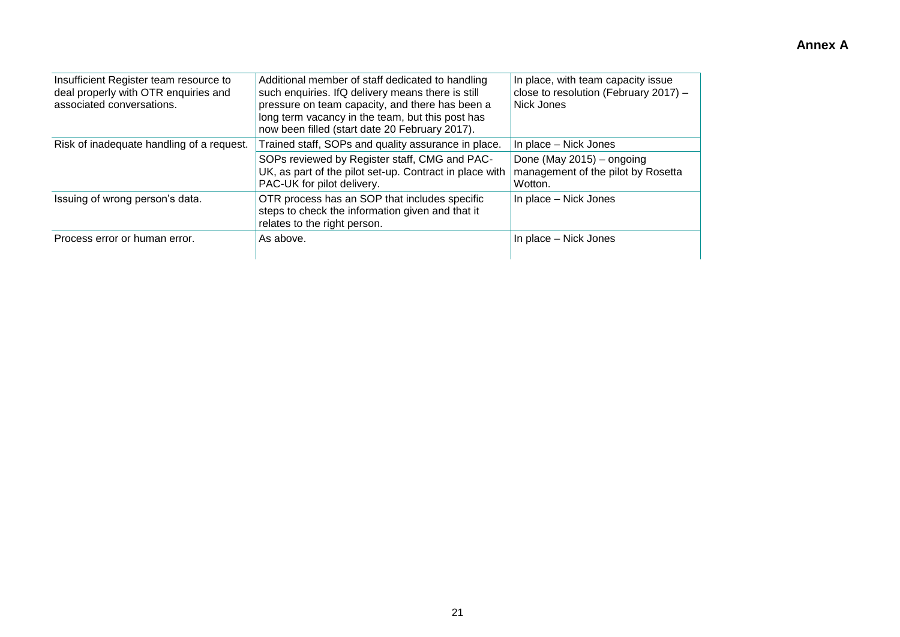| Insufficient Register team resource to<br>deal properly with OTR enquiries and<br>associated conversations. | Additional member of staff dedicated to handling<br>such enquiries. IfQ delivery means there is still<br>pressure on team capacity, and there has been a<br>long term vacancy in the team, but this post has<br>now been filled (start date 20 February 2017). | In place, with team capacity issue<br>close to resolution (February 2017) -<br>Nick Jones           |
|-------------------------------------------------------------------------------------------------------------|----------------------------------------------------------------------------------------------------------------------------------------------------------------------------------------------------------------------------------------------------------------|-----------------------------------------------------------------------------------------------------|
| Risk of inadequate handling of a request.                                                                   | Trained staff, SOPs and quality assurance in place.<br>SOPs reviewed by Register staff, CMG and PAC-<br>UK, as part of the pilot set-up. Contract in place with<br>PAC-UK for pilot delivery.                                                                  | In place - Nick Jones<br>Done (May 2015) - ongoing<br>management of the pilot by Rosetta<br>Wotton. |
| Issuing of wrong person's data.                                                                             | OTR process has an SOP that includes specific<br>steps to check the information given and that it<br>relates to the right person.                                                                                                                              | In place – Nick Jones                                                                               |
| Process error or human error.                                                                               | As above.                                                                                                                                                                                                                                                      | In place – Nick Jones                                                                               |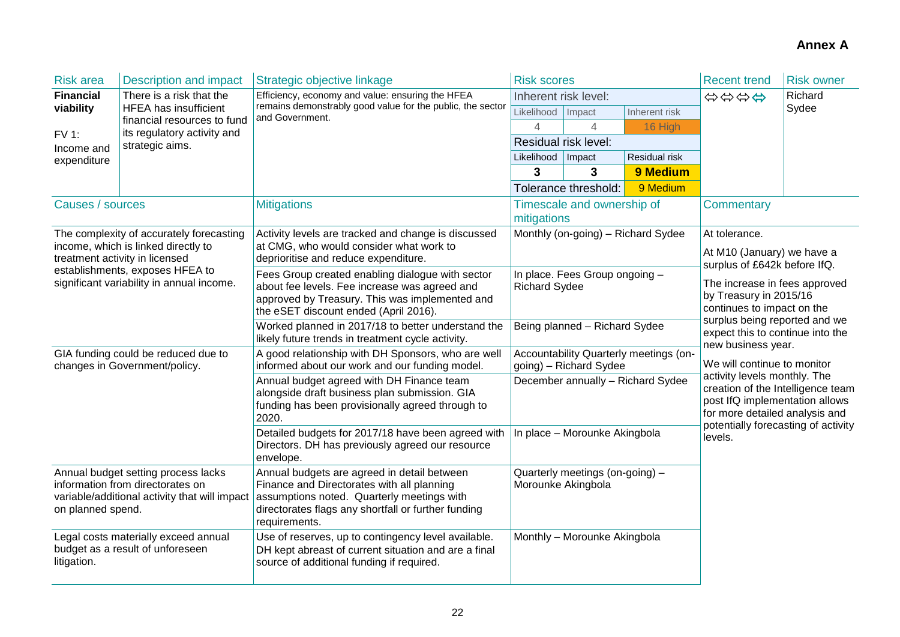| <b>Risk area</b>                                                                                                                              | <b>Description and impact</b>                                         | Strategic objective linkage                                                                                                                                                                                     | <b>Risk scores</b>                                               |                            |                                    | <b>Recent trend</b>                                                                                                                   | <b>Risk owner</b> |  |
|-----------------------------------------------------------------------------------------------------------------------------------------------|-----------------------------------------------------------------------|-----------------------------------------------------------------------------------------------------------------------------------------------------------------------------------------------------------------|------------------------------------------------------------------|----------------------------|------------------------------------|---------------------------------------------------------------------------------------------------------------------------------------|-------------------|--|
| <b>Financial</b>                                                                                                                              | There is a risk that the                                              | Efficiency, economy and value: ensuring the HFEA                                                                                                                                                                | Inherent risk level:                                             |                            |                                    | \$\$\$\$                                                                                                                              | Richard           |  |
| viability                                                                                                                                     | <b>HFEA</b> has insufficient<br>financial resources to fund           | remains demonstrably good value for the public, the sector<br>and Government.                                                                                                                                   | Likelihood                                                       | Impact                     | Inherent risk                      |                                                                                                                                       | Sydee             |  |
| <b>FV 1:</b>                                                                                                                                  | its regulatory activity and                                           |                                                                                                                                                                                                                 | 4                                                                | 4                          | 16 High                            |                                                                                                                                       |                   |  |
| Income and                                                                                                                                    | strategic aims.                                                       |                                                                                                                                                                                                                 |                                                                  | Residual risk level:       |                                    |                                                                                                                                       |                   |  |
| expenditure                                                                                                                                   |                                                                       |                                                                                                                                                                                                                 | Likelihood                                                       | $\vert$ Impact             | Residual risk                      |                                                                                                                                       |                   |  |
|                                                                                                                                               |                                                                       |                                                                                                                                                                                                                 | 3                                                                | 3                          | 9 Medium                           |                                                                                                                                       |                   |  |
|                                                                                                                                               |                                                                       |                                                                                                                                                                                                                 |                                                                  | Tolerance threshold:       | 9 Medium                           |                                                                                                                                       |                   |  |
| Causes / sources                                                                                                                              |                                                                       | <b>Mitigations</b>                                                                                                                                                                                              | mitigations                                                      | Timescale and ownership of |                                    | Commentary                                                                                                                            |                   |  |
|                                                                                                                                               | The complexity of accurately forecasting                              | Activity levels are tracked and change is discussed                                                                                                                                                             |                                                                  |                            | Monthly (on-going) - Richard Sydee | At tolerance.                                                                                                                         |                   |  |
|                                                                                                                                               | income, which is linked directly to<br>treatment activity in licensed | at CMG, who would consider what work to<br>deprioritise and reduce expenditure.                                                                                                                                 |                                                                  |                            |                                    | At M10 (January) we have a<br>surplus of £642k before IfQ.                                                                            |                   |  |
| establishments, exposes HFEA to<br>significant variability in annual income.                                                                  |                                                                       | Fees Group created enabling dialogue with sector<br>about fee levels. Fee increase was agreed and<br>approved by Treasury. This was implemented and<br>the eSET discount ended (April 2016).                    | In place. Fees Group ongoing -<br><b>Richard Sydee</b>           |                            |                                    | The increase in fees approved<br>by Treasury in 2015/16<br>continues to impact on the                                                 |                   |  |
|                                                                                                                                               |                                                                       | Worked planned in 2017/18 to better understand the<br>likely future trends in treatment cycle activity.                                                                                                         | Being planned - Richard Sydee                                    |                            |                                    | surplus being reported and we<br>expect this to continue into the<br>new business year.                                               |                   |  |
|                                                                                                                                               | GIA funding could be reduced due to<br>changes in Government/policy.  | A good relationship with DH Sponsors, who are well<br>informed about our work and our funding model.                                                                                                            | Accountability Quarterly meetings (on-<br>going) - Richard Sydee |                            |                                    | We will continue to monitor                                                                                                           |                   |  |
|                                                                                                                                               |                                                                       | Annual budget agreed with DH Finance team<br>alongside draft business plan submission. GIA<br>funding has been provisionally agreed through to<br>2020.                                                         | December annually - Richard Sydee                                |                            |                                    | activity levels monthly. The<br>creation of the Intelligence team<br>post IfQ implementation allows<br>for more detailed analysis and |                   |  |
|                                                                                                                                               |                                                                       | Detailed budgets for 2017/18 have been agreed with<br>Directors. DH has previously agreed our resource<br>envelope.                                                                                             | In place - Morounke Akingbola                                    |                            |                                    | potentially forecasting of activity<br>levels.                                                                                        |                   |  |
| Annual budget setting process lacks<br>information from directorates on<br>variable/additional activity that will impact<br>on planned spend. |                                                                       | Annual budgets are agreed in detail between<br>Finance and Directorates with all planning<br>assumptions noted. Quarterly meetings with<br>directorates flags any shortfall or further funding<br>requirements. | Quarterly meetings (on-going) -<br>Morounke Akingbola            |                            |                                    |                                                                                                                                       |                   |  |
| Legal costs materially exceed annual<br>budget as a result of unforeseen<br>litigation.                                                       |                                                                       | Use of reserves, up to contingency level available.<br>DH kept abreast of current situation and are a final<br>source of additional funding if required.                                                        | Monthly - Morounke Akingbola                                     |                            |                                    |                                                                                                                                       |                   |  |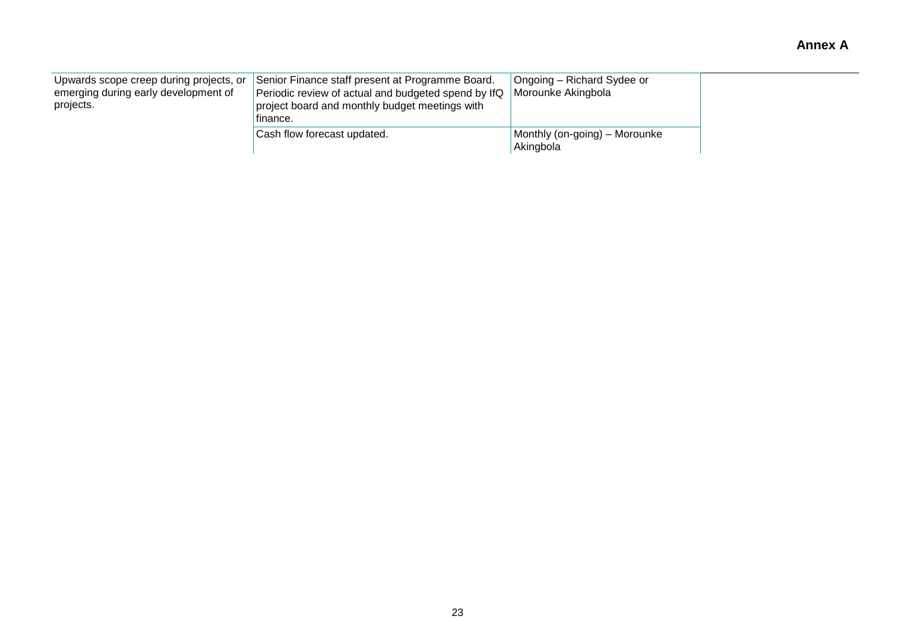| Upwards scope creep during projects, or<br>emerging during early development of<br>projects. | Senior Finance staff present at Programme Board.<br>Periodic review of actual and budgeted spend by IfQ<br>project board and monthly budget meetings with<br>finance. |                                            |
|----------------------------------------------------------------------------------------------|-----------------------------------------------------------------------------------------------------------------------------------------------------------------------|--------------------------------------------|
|                                                                                              | Cash flow forecast updated.                                                                                                                                           | Monthly (on-going) – Morounke<br>Akingbola |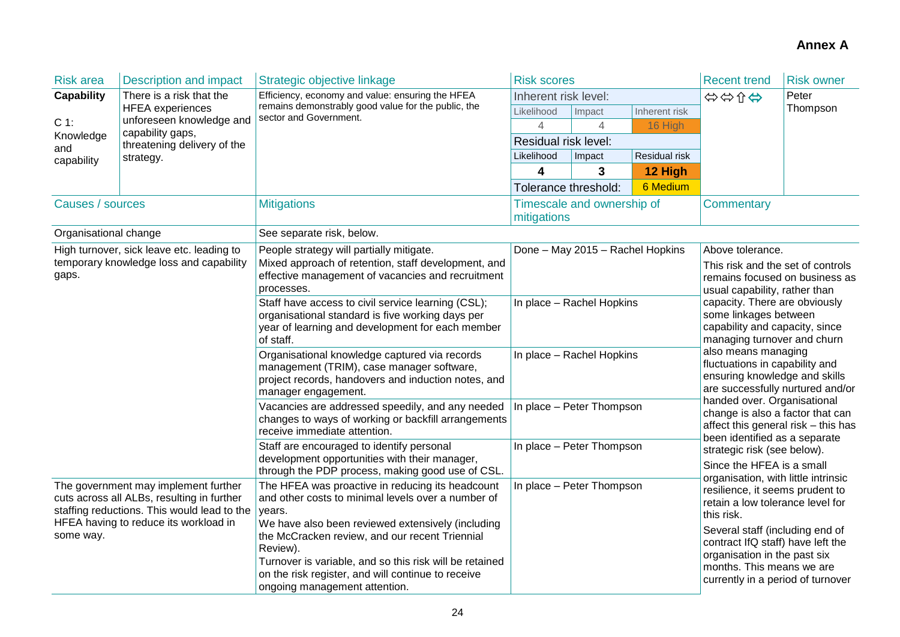| <b>Risk area</b>                                                                                                                                                                                                                                                                         | <b>Description and impact</b>                | Strategic objective linkage                                                                                                                                                                                                                                                                                                                                                           | <b>Risk scores</b>                                     |                            |               | <b>Recent trend</b>                                                                                                                                                                                                                                                                                                                                                                             | <b>Risk owner</b> |  |
|------------------------------------------------------------------------------------------------------------------------------------------------------------------------------------------------------------------------------------------------------------------------------------------|----------------------------------------------|---------------------------------------------------------------------------------------------------------------------------------------------------------------------------------------------------------------------------------------------------------------------------------------------------------------------------------------------------------------------------------------|--------------------------------------------------------|----------------------------|---------------|-------------------------------------------------------------------------------------------------------------------------------------------------------------------------------------------------------------------------------------------------------------------------------------------------------------------------------------------------------------------------------------------------|-------------------|--|
| <b>Capability</b>                                                                                                                                                                                                                                                                        | There is a risk that the                     | Efficiency, economy and value: ensuring the HFEA                                                                                                                                                                                                                                                                                                                                      | Inherent risk level:                                   |                            |               | Peter<br>☆☆☆☆                                                                                                                                                                                                                                                                                                                                                                                   |                   |  |
|                                                                                                                                                                                                                                                                                          | <b>HFEA</b> experiences                      | remains demonstrably good value for the public, the<br>sector and Government.                                                                                                                                                                                                                                                                                                         | Likelihood                                             | Impact                     | Inherent risk |                                                                                                                                                                                                                                                                                                                                                                                                 | Thompson          |  |
| $C 1$ :                                                                                                                                                                                                                                                                                  | unforeseen knowledge and<br>capability gaps, |                                                                                                                                                                                                                                                                                                                                                                                       | 4                                                      |                            | 16 High       |                                                                                                                                                                                                                                                                                                                                                                                                 |                   |  |
| Knowledge<br>and                                                                                                                                                                                                                                                                         | threatening delivery of the                  |                                                                                                                                                                                                                                                                                                                                                                                       | Residual risk level:                                   |                            |               |                                                                                                                                                                                                                                                                                                                                                                                                 |                   |  |
| capability                                                                                                                                                                                                                                                                               | strategy.                                    |                                                                                                                                                                                                                                                                                                                                                                                       | Likelihood                                             | Impact                     | Residual risk |                                                                                                                                                                                                                                                                                                                                                                                                 |                   |  |
|                                                                                                                                                                                                                                                                                          |                                              |                                                                                                                                                                                                                                                                                                                                                                                       | 4                                                      | 3                          | 12 High       |                                                                                                                                                                                                                                                                                                                                                                                                 |                   |  |
|                                                                                                                                                                                                                                                                                          |                                              |                                                                                                                                                                                                                                                                                                                                                                                       | Tolerance threshold:                                   |                            | 6 Medium      |                                                                                                                                                                                                                                                                                                                                                                                                 |                   |  |
| Causes / sources                                                                                                                                                                                                                                                                         |                                              | <b>Mitigations</b>                                                                                                                                                                                                                                                                                                                                                                    | mitigations                                            | Timescale and ownership of |               | <b>Commentary</b>                                                                                                                                                                                                                                                                                                                                                                               |                   |  |
| Organisational change                                                                                                                                                                                                                                                                    |                                              | See separate risk, below.                                                                                                                                                                                                                                                                                                                                                             |                                                        |                            |               |                                                                                                                                                                                                                                                                                                                                                                                                 |                   |  |
| High turnover, sick leave etc. leading to<br>temporary knowledge loss and capability<br>gaps.<br>The government may implement further<br>cuts across all ALBs, resulting in further<br>staffing reductions. This would lead to the<br>HFEA having to reduce its workload in<br>some way. |                                              | People strategy will partially mitigate.<br>Mixed approach of retention, staff development, and<br>effective management of vacancies and recruitment<br>processes.                                                                                                                                                                                                                    | Done - May 2015 - Rachel Hopkins                       |                            |               | Above tolerance.<br>This risk and the set of controls<br>remains focused on business as<br>usual capability, rather than                                                                                                                                                                                                                                                                        |                   |  |
|                                                                                                                                                                                                                                                                                          |                                              | Staff have access to civil service learning (CSL);<br>organisational standard is five working days per<br>year of learning and development for each member<br>of staff.                                                                                                                                                                                                               | In place - Rachel Hopkins                              |                            |               | capacity. There are obviously<br>some linkages between<br>capability and capacity, since<br>managing turnover and churn                                                                                                                                                                                                                                                                         |                   |  |
|                                                                                                                                                                                                                                                                                          |                                              | Organisational knowledge captured via records<br>management (TRIM), case manager software,<br>project records, handovers and induction notes, and<br>manager engagement.                                                                                                                                                                                                              | In place - Rachel Hopkins<br>In place - Peter Thompson |                            |               | also means managing<br>fluctuations in capability and<br>ensuring knowledge and skills<br>are successfully nurtured and/or<br>handed over. Organisational<br>change is also a factor that can<br>affect this general risk - this has                                                                                                                                                            |                   |  |
|                                                                                                                                                                                                                                                                                          |                                              | Vacancies are addressed speedily, and any needed<br>changes to ways of working or backfill arrangements<br>receive immediate attention.                                                                                                                                                                                                                                               |                                                        |                            |               |                                                                                                                                                                                                                                                                                                                                                                                                 |                   |  |
|                                                                                                                                                                                                                                                                                          |                                              | Staff are encouraged to identify personal<br>development opportunities with their manager,<br>through the PDP process, making good use of CSL.                                                                                                                                                                                                                                        | In place - Peter Thompson                              |                            |               | been identified as a separate<br>strategic risk (see below).<br>Since the HFEA is a small<br>organisation, with little intrinsic<br>resilience, it seems prudent to<br>retain a low tolerance level for<br>this risk.<br>Several staff (including end of<br>contract IfQ staff) have left the<br>organisation in the past six<br>months. This means we are<br>currently in a period of turnover |                   |  |
|                                                                                                                                                                                                                                                                                          |                                              | The HFEA was proactive in reducing its headcount<br>and other costs to minimal levels over a number of<br>years.<br>We have also been reviewed extensively (including<br>the McCracken review, and our recent Triennial<br>Review).<br>Turnover is variable, and so this risk will be retained<br>on the risk register, and will continue to receive<br>ongoing management attention. | In place - Peter Thompson                              |                            |               |                                                                                                                                                                                                                                                                                                                                                                                                 |                   |  |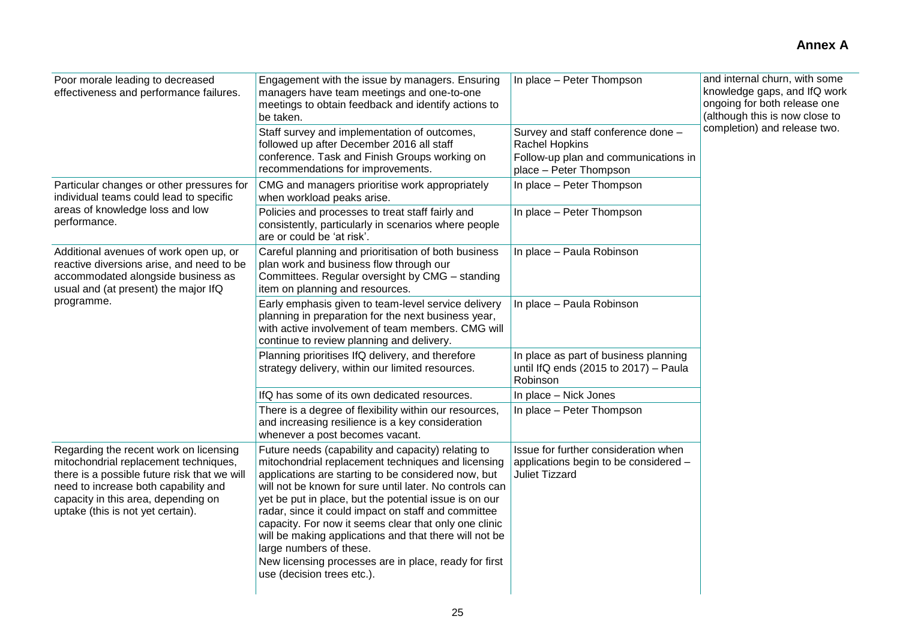| Poor morale leading to decreased<br>effectiveness and performance failures.                                                                                                                                                                         | Engagement with the issue by managers. Ensuring<br>managers have team meetings and one-to-one<br>meetings to obtain feedback and identify actions to<br>be taken.<br>Staff survey and implementation of outcomes,                                                                                                                                                                                                                                                                                                                                                                | In place - Peter Thompson<br>Survey and staff conference done -                                        | and internal churn, with some<br>knowledge gaps, and IfQ work<br>ongoing for both release one<br>(although this is now close to<br>completion) and release two. |  |  |
|-----------------------------------------------------------------------------------------------------------------------------------------------------------------------------------------------------------------------------------------------------|----------------------------------------------------------------------------------------------------------------------------------------------------------------------------------------------------------------------------------------------------------------------------------------------------------------------------------------------------------------------------------------------------------------------------------------------------------------------------------------------------------------------------------------------------------------------------------|--------------------------------------------------------------------------------------------------------|-----------------------------------------------------------------------------------------------------------------------------------------------------------------|--|--|
|                                                                                                                                                                                                                                                     | followed up after December 2016 all staff<br>conference. Task and Finish Groups working on<br>recommendations for improvements.                                                                                                                                                                                                                                                                                                                                                                                                                                                  | Rachel Hopkins<br>Follow-up plan and communications in<br>place - Peter Thompson                       |                                                                                                                                                                 |  |  |
| Particular changes or other pressures for<br>individual teams could lead to specific                                                                                                                                                                | CMG and managers prioritise work appropriately<br>when workload peaks arise.                                                                                                                                                                                                                                                                                                                                                                                                                                                                                                     | In place - Peter Thompson                                                                              |                                                                                                                                                                 |  |  |
| areas of knowledge loss and low<br>performance.                                                                                                                                                                                                     | Policies and processes to treat staff fairly and<br>consistently, particularly in scenarios where people<br>are or could be 'at risk'.                                                                                                                                                                                                                                                                                                                                                                                                                                           | In place - Peter Thompson                                                                              |                                                                                                                                                                 |  |  |
| Additional avenues of work open up, or<br>reactive diversions arise, and need to be<br>accommodated alongside business as<br>usual and (at present) the major IfQ                                                                                   | Careful planning and prioritisation of both business<br>plan work and business flow through our<br>Committees. Regular oversight by CMG - standing<br>item on planning and resources.                                                                                                                                                                                                                                                                                                                                                                                            | In place - Paula Robinson                                                                              |                                                                                                                                                                 |  |  |
| programme.                                                                                                                                                                                                                                          | Early emphasis given to team-level service delivery<br>planning in preparation for the next business year,<br>with active involvement of team members. CMG will<br>continue to review planning and delivery.                                                                                                                                                                                                                                                                                                                                                                     | In place - Paula Robinson                                                                              |                                                                                                                                                                 |  |  |
|                                                                                                                                                                                                                                                     | Planning prioritises IfQ delivery, and therefore<br>strategy delivery, within our limited resources.                                                                                                                                                                                                                                                                                                                                                                                                                                                                             | In place as part of business planning<br>until IfQ ends (2015 to 2017) - Paula<br>Robinson             |                                                                                                                                                                 |  |  |
|                                                                                                                                                                                                                                                     | IfQ has some of its own dedicated resources.                                                                                                                                                                                                                                                                                                                                                                                                                                                                                                                                     | In place - Nick Jones                                                                                  |                                                                                                                                                                 |  |  |
|                                                                                                                                                                                                                                                     | There is a degree of flexibility within our resources,<br>and increasing resilience is a key consideration<br>whenever a post becomes vacant.                                                                                                                                                                                                                                                                                                                                                                                                                                    | In place - Peter Thompson                                                                              |                                                                                                                                                                 |  |  |
| Regarding the recent work on licensing<br>mitochondrial replacement techniques,<br>there is a possible future risk that we will<br>need to increase both capability and<br>capacity in this area, depending on<br>uptake (this is not yet certain). | Future needs (capability and capacity) relating to<br>mitochondrial replacement techniques and licensing<br>applications are starting to be considered now, but<br>will not be known for sure until later. No controls can<br>yet be put in place, but the potential issue is on our<br>radar, since it could impact on staff and committee<br>capacity. For now it seems clear that only one clinic<br>will be making applications and that there will not be<br>large numbers of these.<br>New licensing processes are in place, ready for first<br>use (decision trees etc.). | Issue for further consideration when<br>applications begin to be considered -<br><b>Juliet Tizzard</b> |                                                                                                                                                                 |  |  |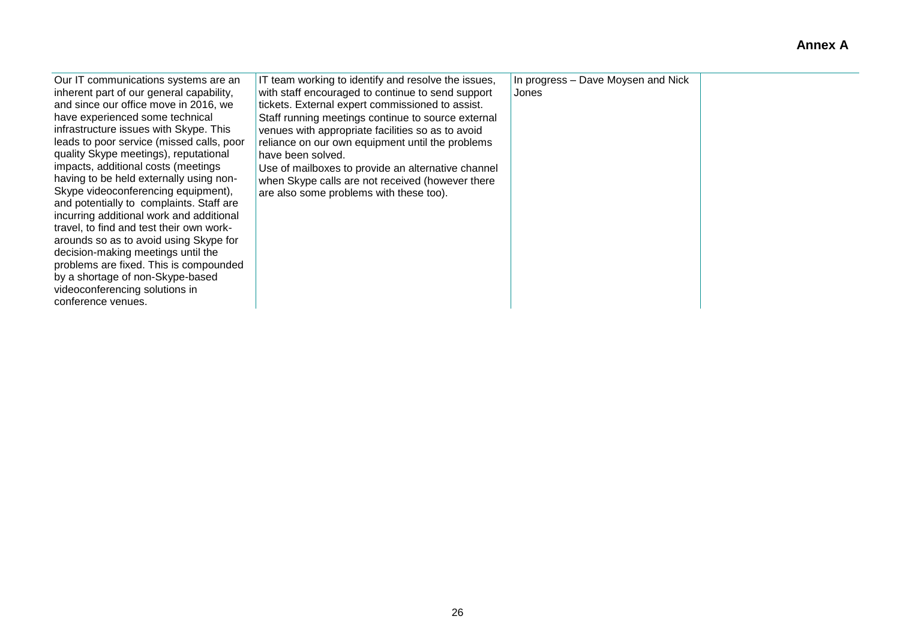| Our IT communications systems are an<br>inherent part of our general capability,<br>and since our office move in 2016, we<br>have experienced some technical<br>infrastructure issues with Skype. This<br>leads to poor service (missed calls, poor<br>quality Skype meetings), reputational<br>impacts, additional costs (meetings<br>having to be held externally using non-<br>Skype videoconferencing equipment),<br>and potentially to complaints. Staff are<br>incurring additional work and additional<br>travel, to find and test their own work-<br>arounds so as to avoid using Skype for<br>decision-making meetings until the<br>problems are fixed. This is compounded<br>by a shortage of non-Skype-based<br>videoconferencing solutions in<br>conference venues. | IT team working to identify and resolve the issues,<br>with staff encouraged to continue to send support<br>tickets. External expert commissioned to assist.<br>Staff running meetings continue to source external<br>venues with appropriate facilities so as to avoid<br>reliance on our own equipment until the problems<br>have been solved.<br>Use of mailboxes to provide an alternative channel<br>when Skype calls are not received (however there<br>are also some problems with these too). | In progress - Dave Moysen and Nick<br>Jones |  |
|---------------------------------------------------------------------------------------------------------------------------------------------------------------------------------------------------------------------------------------------------------------------------------------------------------------------------------------------------------------------------------------------------------------------------------------------------------------------------------------------------------------------------------------------------------------------------------------------------------------------------------------------------------------------------------------------------------------------------------------------------------------------------------|-------------------------------------------------------------------------------------------------------------------------------------------------------------------------------------------------------------------------------------------------------------------------------------------------------------------------------------------------------------------------------------------------------------------------------------------------------------------------------------------------------|---------------------------------------------|--|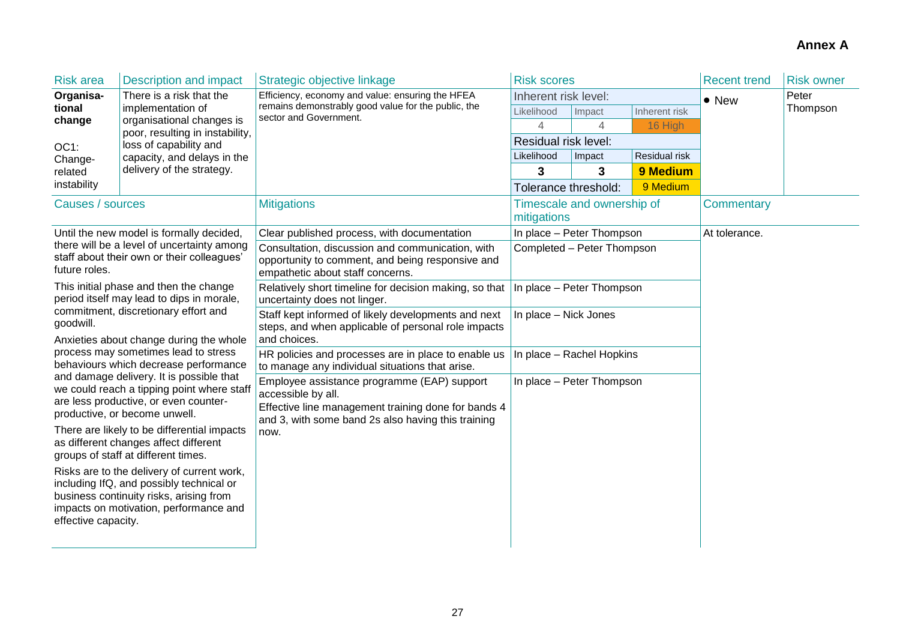| <b>Risk area</b>                                                                                                                                                                                                                                                                                                                                                                                                                                                                                                                                                                                                                                                                                                                                                              | <b>Description and impact</b>                                | Strategic objective linkage                                                                                                                                                    | <b>Risk scores</b>                        |                      | <b>Recent trend</b> | <b>Risk owner</b> |          |
|-------------------------------------------------------------------------------------------------------------------------------------------------------------------------------------------------------------------------------------------------------------------------------------------------------------------------------------------------------------------------------------------------------------------------------------------------------------------------------------------------------------------------------------------------------------------------------------------------------------------------------------------------------------------------------------------------------------------------------------------------------------------------------|--------------------------------------------------------------|--------------------------------------------------------------------------------------------------------------------------------------------------------------------------------|-------------------------------------------|----------------------|---------------------|-------------------|----------|
| Organisa-                                                                                                                                                                                                                                                                                                                                                                                                                                                                                                                                                                                                                                                                                                                                                                     | There is a risk that the<br>implementation of                | Efficiency, economy and value: ensuring the HFEA<br>remains demonstrably good value for the public, the<br>sector and Government.                                              | Inherent risk level:                      |                      |                     | $\bullet$ New     | Peter    |
| tional                                                                                                                                                                                                                                                                                                                                                                                                                                                                                                                                                                                                                                                                                                                                                                        |                                                              |                                                                                                                                                                                | Likelihood                                | Impact               | Inherent risk       |                   | Thompson |
| change                                                                                                                                                                                                                                                                                                                                                                                                                                                                                                                                                                                                                                                                                                                                                                        | organisational changes is<br>poor, resulting in instability, |                                                                                                                                                                                | $\overline{4}$                            | $\overline{4}$       | 16 High             |                   |          |
| OC1:                                                                                                                                                                                                                                                                                                                                                                                                                                                                                                                                                                                                                                                                                                                                                                          | loss of capability and                                       |                                                                                                                                                                                |                                           | Residual risk level: |                     |                   |          |
| Change-                                                                                                                                                                                                                                                                                                                                                                                                                                                                                                                                                                                                                                                                                                                                                                       | capacity, and delays in the                                  |                                                                                                                                                                                | Likelihood                                | Impact               | Residual risk       |                   |          |
| related                                                                                                                                                                                                                                                                                                                                                                                                                                                                                                                                                                                                                                                                                                                                                                       | delivery of the strategy.                                    |                                                                                                                                                                                | 3                                         | 3                    | 9 Medium            |                   |          |
| instability                                                                                                                                                                                                                                                                                                                                                                                                                                                                                                                                                                                                                                                                                                                                                                   |                                                              |                                                                                                                                                                                | Tolerance threshold:                      |                      | 9 Medium            |                   |          |
| Causes / sources                                                                                                                                                                                                                                                                                                                                                                                                                                                                                                                                                                                                                                                                                                                                                              |                                                              | <b>Mitigations</b>                                                                                                                                                             | Timescale and ownership of<br>mitigations |                      | Commentary          |                   |          |
|                                                                                                                                                                                                                                                                                                                                                                                                                                                                                                                                                                                                                                                                                                                                                                               | Until the new model is formally decided,                     | Clear published process, with documentation                                                                                                                                    | In place - Peter Thompson                 |                      |                     | At tolerance.     |          |
| there will be a level of uncertainty among<br>staff about their own or their colleagues'<br>future roles.                                                                                                                                                                                                                                                                                                                                                                                                                                                                                                                                                                                                                                                                     |                                                              | Consultation, discussion and communication, with<br>opportunity to comment, and being responsive and<br>empathetic about staff concerns.                                       | Completed - Peter Thompson                |                      |                     |                   |          |
| This initial phase and then the change<br>period itself may lead to dips in morale,<br>commitment, discretionary effort and<br>goodwill.<br>Anxieties about change during the whole<br>process may sometimes lead to stress<br>behaviours which decrease performance<br>and damage delivery. It is possible that<br>we could reach a tipping point where staff<br>are less productive, or even counter-<br>productive, or become unwell.<br>There are likely to be differential impacts<br>as different changes affect different<br>groups of staff at different times.<br>Risks are to the delivery of current work,<br>including IfQ, and possibly technical or<br>business continuity risks, arising from<br>impacts on motivation, performance and<br>effective capacity. |                                                              | Relatively short timeline for decision making, so that<br>uncertainty does not linger.                                                                                         | In place - Peter Thompson                 |                      |                     |                   |          |
|                                                                                                                                                                                                                                                                                                                                                                                                                                                                                                                                                                                                                                                                                                                                                                               |                                                              | Staff kept informed of likely developments and next<br>steps, and when applicable of personal role impacts<br>and choices.                                                     | In place - Nick Jones                     |                      |                     |                   |          |
|                                                                                                                                                                                                                                                                                                                                                                                                                                                                                                                                                                                                                                                                                                                                                                               |                                                              | HR policies and processes are in place to enable us<br>to manage any individual situations that arise.                                                                         | In place - Rachel Hopkins                 |                      |                     |                   |          |
|                                                                                                                                                                                                                                                                                                                                                                                                                                                                                                                                                                                                                                                                                                                                                                               |                                                              | Employee assistance programme (EAP) support<br>accessible by all.<br>Effective line management training done for bands 4<br>and 3, with some band 2s also having this training | In place - Peter Thompson                 |                      |                     |                   |          |
|                                                                                                                                                                                                                                                                                                                                                                                                                                                                                                                                                                                                                                                                                                                                                                               |                                                              | now.                                                                                                                                                                           |                                           |                      |                     |                   |          |
|                                                                                                                                                                                                                                                                                                                                                                                                                                                                                                                                                                                                                                                                                                                                                                               |                                                              |                                                                                                                                                                                |                                           |                      |                     |                   |          |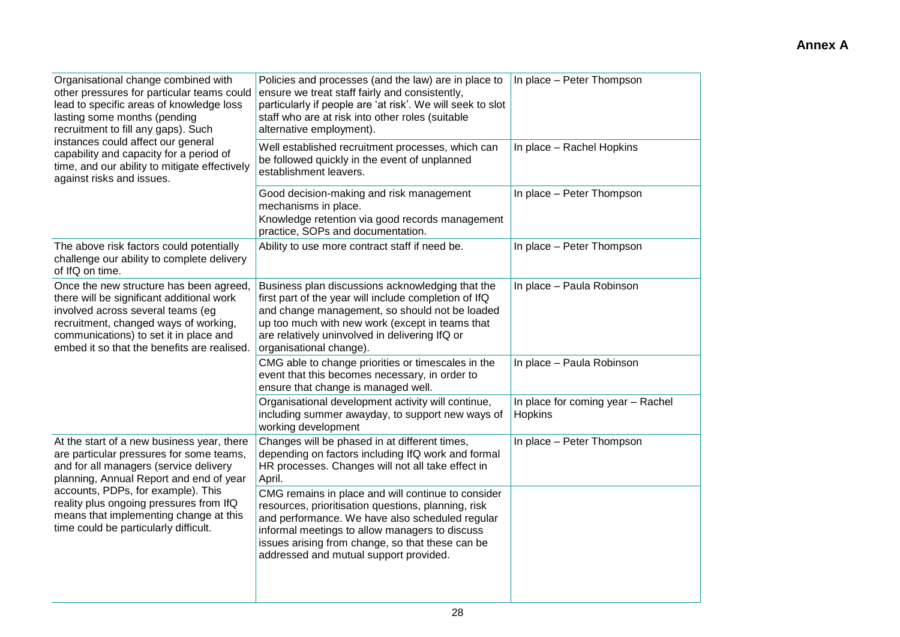| Policies and processes (and the law) are in place to<br>ensure we treat staff fairly and consistently,<br>particularly if people are 'at risk'. We will seek to slot<br>staff who are at risk into other roles (suitable<br>alternative employment).                                                         | In place - Peter Thompson                    |  |
|--------------------------------------------------------------------------------------------------------------------------------------------------------------------------------------------------------------------------------------------------------------------------------------------------------------|----------------------------------------------|--|
| Well established recruitment processes, which can<br>be followed quickly in the event of unplanned<br>establishment leavers.                                                                                                                                                                                 | In place - Rachel Hopkins                    |  |
| Good decision-making and risk management<br>mechanisms in place.<br>Knowledge retention via good records management<br>practice, SOPs and documentation.                                                                                                                                                     | In place - Peter Thompson                    |  |
| Ability to use more contract staff if need be.                                                                                                                                                                                                                                                               | In place - Peter Thompson                    |  |
| Business plan discussions acknowledging that the<br>first part of the year will include completion of IfQ<br>and change management, so should not be loaded<br>up too much with new work (except in teams that<br>are relatively uninvolved in delivering IfQ or<br>organisational change).                  | In place - Paula Robinson                    |  |
| CMG able to change priorities or timescales in the<br>event that this becomes necessary, in order to<br>ensure that change is managed well.                                                                                                                                                                  | In place - Paula Robinson                    |  |
| Organisational development activity will continue,<br>including summer awayday, to support new ways of<br>working development                                                                                                                                                                                | In place for coming year - Rachel<br>Hopkins |  |
| Changes will be phased in at different times,<br>depending on factors including IfQ work and formal<br>HR processes. Changes will not all take effect in<br>April.                                                                                                                                           | In place - Peter Thompson                    |  |
| CMG remains in place and will continue to consider<br>resources, prioritisation questions, planning, risk<br>and performance. We have also scheduled regular<br>informal meetings to allow managers to discuss<br>issues arising from change, so that these can be<br>addressed and mutual support provided. |                                              |  |
|                                                                                                                                                                                                                                                                                                              |                                              |  |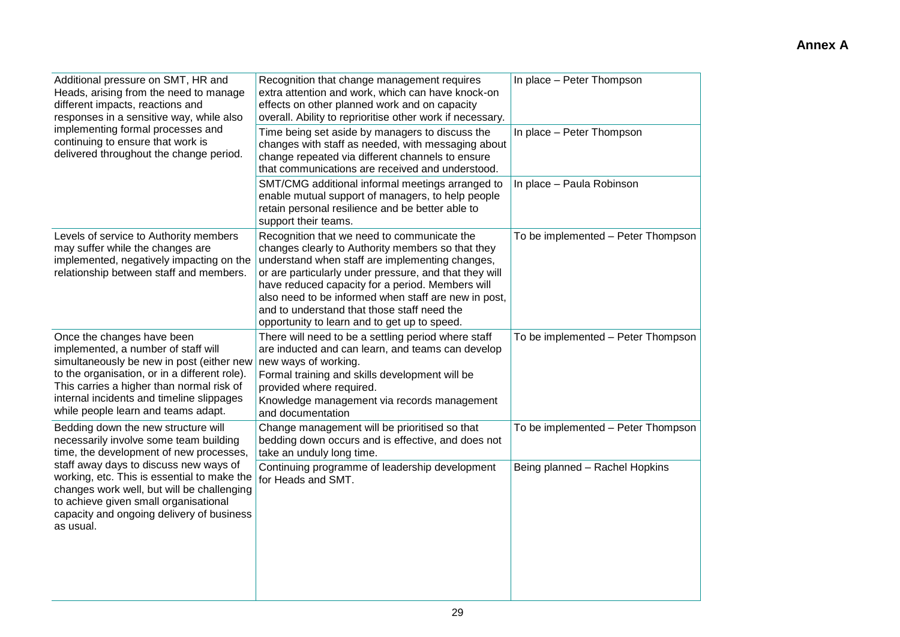| Additional pressure on SMT, HR and<br>Heads, arising from the need to manage<br>different impacts, reactions and<br>responses in a sensitive way, while also                                                                                                                                     | Recognition that change management requires<br>extra attention and work, which can have knock-on<br>effects on other planned work and on capacity<br>overall. Ability to reprioritise other work if necessary.                                                                                                                                                                                                           | In place - Peter Thompson          |
|--------------------------------------------------------------------------------------------------------------------------------------------------------------------------------------------------------------------------------------------------------------------------------------------------|--------------------------------------------------------------------------------------------------------------------------------------------------------------------------------------------------------------------------------------------------------------------------------------------------------------------------------------------------------------------------------------------------------------------------|------------------------------------|
| implementing formal processes and<br>continuing to ensure that work is<br>delivered throughout the change period.                                                                                                                                                                                | Time being set aside by managers to discuss the<br>changes with staff as needed, with messaging about<br>change repeated via different channels to ensure<br>that communications are received and understood.                                                                                                                                                                                                            | In place - Peter Thompson          |
|                                                                                                                                                                                                                                                                                                  | SMT/CMG additional informal meetings arranged to<br>enable mutual support of managers, to help people<br>retain personal resilience and be better able to<br>support their teams.                                                                                                                                                                                                                                        | In place - Paula Robinson          |
| Levels of service to Authority members<br>may suffer while the changes are<br>implemented, negatively impacting on the<br>relationship between staff and members.                                                                                                                                | Recognition that we need to communicate the<br>changes clearly to Authority members so that they<br>understand when staff are implementing changes,<br>or are particularly under pressure, and that they will<br>have reduced capacity for a period. Members will<br>also need to be informed when staff are new in post,<br>and to understand that those staff need the<br>opportunity to learn and to get up to speed. | To be implemented - Peter Thompson |
| Once the changes have been<br>implemented, a number of staff will<br>simultaneously be new in post (either new<br>to the organisation, or in a different role).<br>This carries a higher than normal risk of<br>internal incidents and timeline slippages<br>while people learn and teams adapt. | There will need to be a settling period where staff<br>are inducted and can learn, and teams can develop<br>new ways of working.<br>Formal training and skills development will be<br>provided where required.<br>Knowledge management via records management<br>and documentation                                                                                                                                       | To be implemented - Peter Thompson |
| Bedding down the new structure will<br>necessarily involve some team building<br>time, the development of new processes,                                                                                                                                                                         | Change management will be prioritised so that<br>bedding down occurs and is effective, and does not<br>take an unduly long time.                                                                                                                                                                                                                                                                                         | To be implemented - Peter Thompson |
| staff away days to discuss new ways of<br>working, etc. This is essential to make the<br>changes work well, but will be challenging<br>to achieve given small organisational<br>capacity and ongoing delivery of business<br>as usual.                                                           | Continuing programme of leadership development<br>for Heads and SMT.                                                                                                                                                                                                                                                                                                                                                     | Being planned - Rachel Hopkins     |
|                                                                                                                                                                                                                                                                                                  |                                                                                                                                                                                                                                                                                                                                                                                                                          |                                    |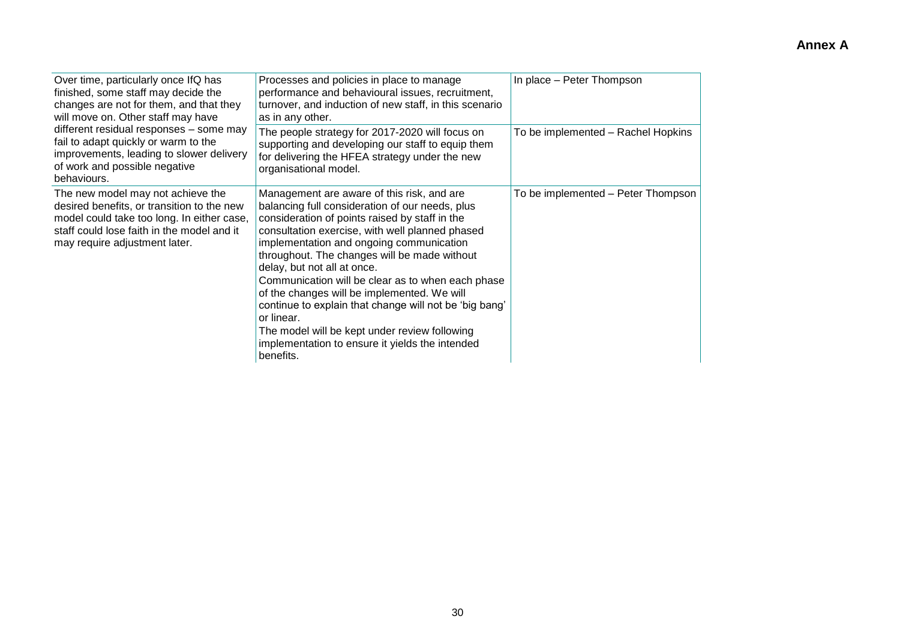| Over time, particularly once IfQ has<br>finished, some staff may decide the<br>changes are not for them, and that they<br>will move on. Other staff may have                                                 | Processes and policies in place to manage<br>performance and behavioural issues, recruitment,<br>turnover, and induction of new staff, in this scenario<br>as in any other.                                                                                                                                                                                                                                                                                                                                                                                                                                                | In place - Peter Thompson          |  |  |
|--------------------------------------------------------------------------------------------------------------------------------------------------------------------------------------------------------------|----------------------------------------------------------------------------------------------------------------------------------------------------------------------------------------------------------------------------------------------------------------------------------------------------------------------------------------------------------------------------------------------------------------------------------------------------------------------------------------------------------------------------------------------------------------------------------------------------------------------------|------------------------------------|--|--|
| different residual responses - some may<br>fail to adapt quickly or warm to the<br>improvements, leading to slower delivery<br>of work and possible negative<br>behaviours.                                  | The people strategy for 2017-2020 will focus on<br>supporting and developing our staff to equip them<br>for delivering the HFEA strategy under the new<br>organisational model.                                                                                                                                                                                                                                                                                                                                                                                                                                            | To be implemented - Rachel Hopkins |  |  |
| The new model may not achieve the<br>desired benefits, or transition to the new<br>model could take too long. In either case,<br>staff could lose faith in the model and it<br>may require adjustment later. | Management are aware of this risk, and are<br>balancing full consideration of our needs, plus<br>consideration of points raised by staff in the<br>consultation exercise, with well planned phased<br>implementation and ongoing communication<br>throughout. The changes will be made without<br>delay, but not all at once.<br>Communication will be clear as to when each phase<br>of the changes will be implemented. We will<br>continue to explain that change will not be 'big bang'<br>or linear.<br>The model will be kept under review following<br>implementation to ensure it yields the intended<br>benefits. | To be implemented - Peter Thompson |  |  |